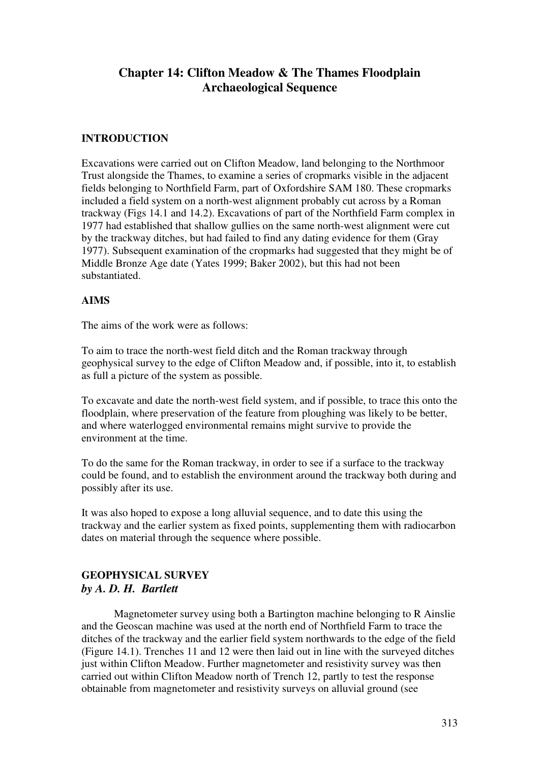# **Chapter 14: Clifton Meadow & The Thames Floodplain Archaeological Sequence**

## **INTRODUCTION**

Excavations were carried out on Clifton Meadow, land belonging to the Northmoor Trust alongside the Thames, to examine a series of cropmarks visible in the adjacent fields belonging to Northfield Farm, part of Oxfordshire SAM 180. These cropmarks included a field system on a north-west alignment probably cut across by a Roman trackway (Figs 14.1 and 14.2). Excavations of part of the Northfield Farm complex in 1977 had established that shallow gullies on the same north-west alignment were cut by the trackway ditches, but had failed to find any dating evidence for them (Gray 1977). Subsequent examination of the cropmarks had suggested that they might be of Middle Bronze Age date (Yates 1999; Baker 2002), but this had not been substantiated.

### **AIMS**

The aims of the work were as follows:

To aim to trace the north-west field ditch and the Roman trackway through geophysical survey to the edge of Clifton Meadow and, if possible, into it, to establish as full a picture of the system as possible.

To excavate and date the north-west field system, and if possible, to trace this onto the floodplain, where preservation of the feature from ploughing was likely to be better, and where waterlogged environmental remains might survive to provide the environment at the time.

To do the same for the Roman trackway, in order to see if a surface to the trackway could be found, and to establish the environment around the trackway both during and possibly after its use.

It was also hoped to expose a long alluvial sequence, and to date this using the trackway and the earlier system as fixed points, supplementing them with radiocarbon dates on material through the sequence where possible.

## **GEOPHYSICAL SURVEY**  *by A. D. H. Bartlett*

Magnetometer survey using both a Bartington machine belonging to R Ainslie and the Geoscan machine was used at the north end of Northfield Farm to trace the ditches of the trackway and the earlier field system northwards to the edge of the field (Figure 14.1). Trenches 11 and 12 were then laid out in line with the surveyed ditches just within Clifton Meadow. Further magnetometer and resistivity survey was then carried out within Clifton Meadow north of Trench 12, partly to test the response obtainable from magnetometer and resistivity surveys on alluvial ground (see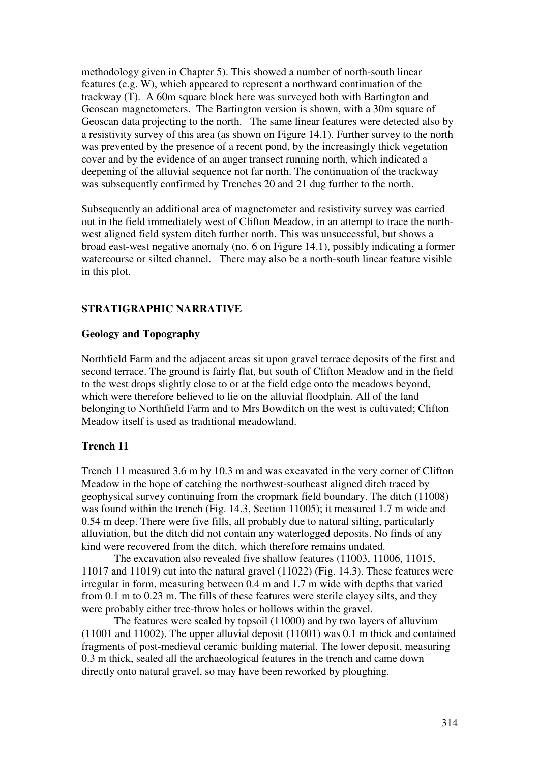methodology given in Chapter 5). This showed a number of north-south linear features (e.g. W), which appeared to represent a northward continuation of the trackway (T). A 60m square block here was surveyed both with Bartington and Geoscan magnetometers. The Bartington version is shown, with a 30m square of Geoscan data projecting to the north. The same linear features were detected also by a resistivity survey of this area (as shown on Figure 14.1). Further survey to the north was prevented by the presence of a recent pond, by the increasingly thick vegetation cover and by the evidence of an auger transect running north, which indicated a deepening of the alluvial sequence not far north. The continuation of the trackway was subsequently confirmed by Trenches 20 and 21 dug further to the north.

Subsequently an additional area of magnetometer and resistivity survey was carried out in the field immediately west of Clifton Meadow, in an attempt to trace the northwest aligned field system ditch further north. This was unsuccessful, but shows a broad east-west negative anomaly (no. 6 on Figure 14.1), possibly indicating a former watercourse or silted channel. There may also be a north-south linear feature visible in this plot.

### **STRATIGRAPHIC NARRATIVE**

### **Geology and Topography**

Northfield Farm and the adjacent areas sit upon gravel terrace deposits of the first and second terrace. The ground is fairly flat, but south of Clifton Meadow and in the field to the west drops slightly close to or at the field edge onto the meadows beyond, which were therefore believed to lie on the alluvial floodplain. All of the land belonging to Northfield Farm and to Mrs Bowditch on the west is cultivated; Clifton Meadow itself is used as traditional meadowland.

### **Trench 11**

Trench 11 measured 3.6 m by 10.3 m and was excavated in the very corner of Clifton Meadow in the hope of catching the northwest-southeast aligned ditch traced by geophysical survey continuing from the cropmark field boundary. The ditch (11008) was found within the trench (Fig. 14.3, Section 11005); it measured 1.7 m wide and 0.54 m deep. There were five fills, all probably due to natural silting, particularly alluviation, but the ditch did not contain any waterlogged deposits. No finds of any kind were recovered from the ditch, which therefore remains undated.

The excavation also revealed five shallow features (11003, 11006, 11015, 11017 and 11019) cut into the natural gravel (11022) (Fig. 14.3). These features were irregular in form, measuring between 0.4 m and 1.7 m wide with depths that varied from 0.1 m to 0.23 m. The fills of these features were sterile clayey silts, and they were probably either tree-throw holes or hollows within the gravel.

The features were sealed by topsoil (11000) and by two layers of alluvium (11001 and 11002). The upper alluvial deposit (11001) was 0.1 m thick and contained fragments of post-medieval ceramic building material. The lower deposit, measuring 0.3 m thick, sealed all the archaeological features in the trench and came down directly onto natural gravel, so may have been reworked by ploughing.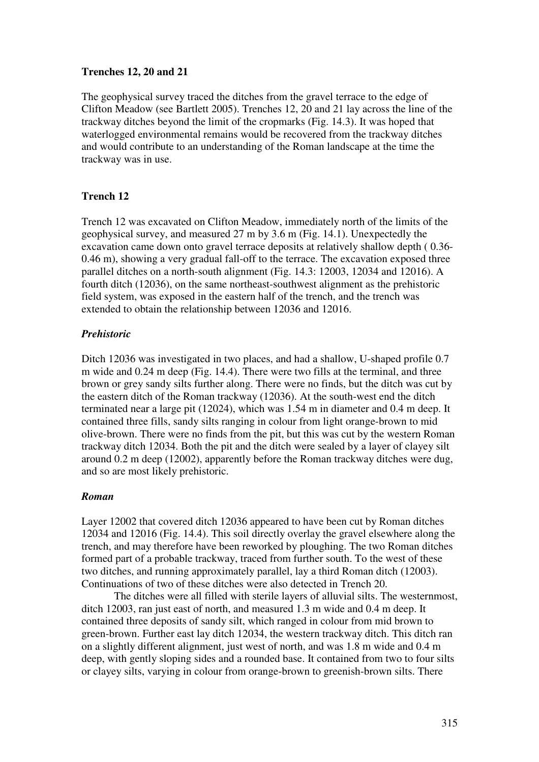## **Trenches 12, 20 and 21**

The geophysical survey traced the ditches from the gravel terrace to the edge of Clifton Meadow (see Bartlett 2005). Trenches 12, 20 and 21 lay across the line of the trackway ditches beyond the limit of the cropmarks (Fig. 14.3). It was hoped that waterlogged environmental remains would be recovered from the trackway ditches and would contribute to an understanding of the Roman landscape at the time the trackway was in use.

# **Trench 12**

Trench 12 was excavated on Clifton Meadow, immediately north of the limits of the geophysical survey, and measured 27 m by 3.6 m (Fig. 14.1). Unexpectedly the excavation came down onto gravel terrace deposits at relatively shallow depth ( 0.36- 0.46 m), showing a very gradual fall-off to the terrace. The excavation exposed three parallel ditches on a north-south alignment (Fig. 14.3: 12003, 12034 and 12016). A fourth ditch (12036), on the same northeast-southwest alignment as the prehistoric field system, was exposed in the eastern half of the trench, and the trench was extended to obtain the relationship between 12036 and 12016.

# *Prehistoric*

Ditch 12036 was investigated in two places, and had a shallow, U-shaped profile 0.7 m wide and 0.24 m deep (Fig. 14.4). There were two fills at the terminal, and three brown or grey sandy silts further along. There were no finds, but the ditch was cut by the eastern ditch of the Roman trackway (12036). At the south-west end the ditch terminated near a large pit (12024), which was 1.54 m in diameter and 0.4 m deep. It contained three fills, sandy silts ranging in colour from light orange-brown to mid olive-brown. There were no finds from the pit, but this was cut by the western Roman trackway ditch 12034. Both the pit and the ditch were sealed by a layer of clayey silt around 0.2 m deep (12002), apparently before the Roman trackway ditches were dug, and so are most likely prehistoric.

## *Roman*

Layer 12002 that covered ditch 12036 appeared to have been cut by Roman ditches 12034 and 12016 (Fig. 14.4). This soil directly overlay the gravel elsewhere along the trench, and may therefore have been reworked by ploughing. The two Roman ditches formed part of a probable trackway, traced from further south. To the west of these two ditches, and running approximately parallel, lay a third Roman ditch (12003). Continuations of two of these ditches were also detected in Trench 20.

The ditches were all filled with sterile layers of alluvial silts. The westernmost, ditch 12003, ran just east of north, and measured 1.3 m wide and 0.4 m deep. It contained three deposits of sandy silt, which ranged in colour from mid brown to green-brown. Further east lay ditch 12034, the western trackway ditch. This ditch ran on a slightly different alignment, just west of north, and was 1.8 m wide and 0.4 m deep, with gently sloping sides and a rounded base. It contained from two to four silts or clayey silts, varying in colour from orange-brown to greenish-brown silts. There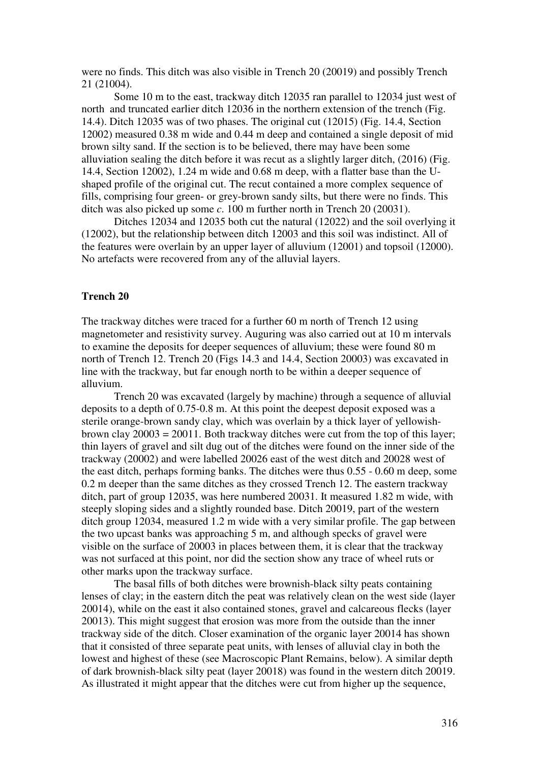were no finds. This ditch was also visible in Trench 20 (20019) and possibly Trench 21 (21004).

Some 10 m to the east, trackway ditch 12035 ran parallel to 12034 just west of north and truncated earlier ditch 12036 in the northern extension of the trench (Fig. 14.4). Ditch 12035 was of two phases. The original cut (12015) (Fig. 14.4, Section 12002) measured 0.38 m wide and 0.44 m deep and contained a single deposit of mid brown silty sand. If the section is to be believed, there may have been some alluviation sealing the ditch before it was recut as a slightly larger ditch, (2016) (Fig. 14.4, Section 12002), 1.24 m wide and 0.68 m deep, with a flatter base than the Ushaped profile of the original cut. The recut contained a more complex sequence of fills, comprising four green- or grey-brown sandy silts, but there were no finds. This ditch was also picked up some *c*. 100 m further north in Trench 20 (20031).

Ditches 12034 and 12035 both cut the natural (12022) and the soil overlying it (12002), but the relationship between ditch 12003 and this soil was indistinct. All of the features were overlain by an upper layer of alluvium (12001) and topsoil (12000). No artefacts were recovered from any of the alluvial layers.

### **Trench 20**

The trackway ditches were traced for a further 60 m north of Trench 12 using magnetometer and resistivity survey. Auguring was also carried out at 10 m intervals to examine the deposits for deeper sequences of alluvium; these were found 80 m north of Trench 12. Trench 20 (Figs 14.3 and 14.4, Section 20003) was excavated in line with the trackway, but far enough north to be within a deeper sequence of alluvium.

Trench 20 was excavated (largely by machine) through a sequence of alluvial deposits to a depth of 0.75-0.8 m. At this point the deepest deposit exposed was a sterile orange-brown sandy clay, which was overlain by a thick layer of yellowishbrown clay  $20003 = 20011$ . Both trackway ditches were cut from the top of this layer; thin layers of gravel and silt dug out of the ditches were found on the inner side of the trackway (20002) and were labelled 20026 east of the west ditch and 20028 west of the east ditch, perhaps forming banks. The ditches were thus 0.55 - 0.60 m deep, some 0.2 m deeper than the same ditches as they crossed Trench 12. The eastern trackway ditch, part of group 12035, was here numbered 20031. It measured 1.82 m wide, with steeply sloping sides and a slightly rounded base. Ditch 20019, part of the western ditch group 12034, measured 1.2 m wide with a very similar profile. The gap between the two upcast banks was approaching 5 m, and although specks of gravel were visible on the surface of 20003 in places between them, it is clear that the trackway was not surfaced at this point, nor did the section show any trace of wheel ruts or other marks upon the trackway surface.

The basal fills of both ditches were brownish-black silty peats containing lenses of clay; in the eastern ditch the peat was relatively clean on the west side (layer 20014), while on the east it also contained stones, gravel and calcareous flecks (layer 20013). This might suggest that erosion was more from the outside than the inner trackway side of the ditch. Closer examination of the organic layer 20014 has shown that it consisted of three separate peat units, with lenses of alluvial clay in both the lowest and highest of these (see Macroscopic Plant Remains, below). A similar depth of dark brownish-black silty peat (layer 20018) was found in the western ditch 20019. As illustrated it might appear that the ditches were cut from higher up the sequence,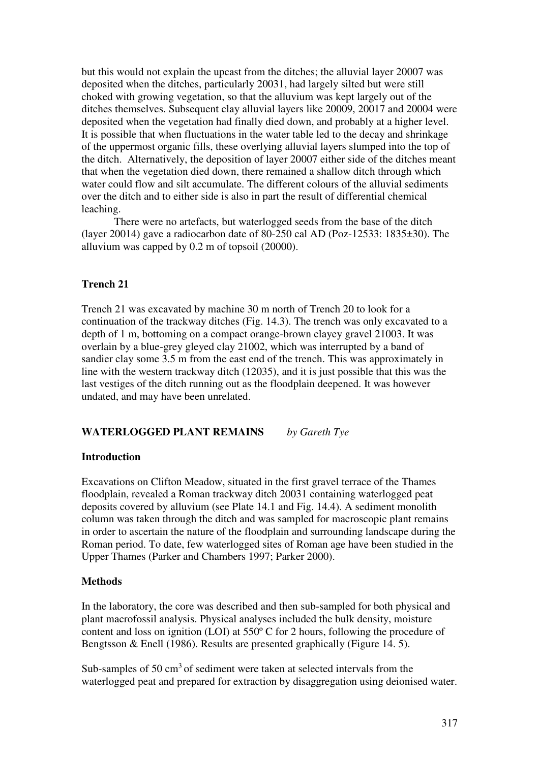but this would not explain the upcast from the ditches; the alluvial layer 20007 was deposited when the ditches, particularly 20031, had largely silted but were still choked with growing vegetation, so that the alluvium was kept largely out of the ditches themselves. Subsequent clay alluvial layers like 20009, 20017 and 20004 were deposited when the vegetation had finally died down, and probably at a higher level. It is possible that when fluctuations in the water table led to the decay and shrinkage of the uppermost organic fills, these overlying alluvial layers slumped into the top of the ditch. Alternatively, the deposition of layer 20007 either side of the ditches meant that when the vegetation died down, there remained a shallow ditch through which water could flow and silt accumulate. The different colours of the alluvial sediments over the ditch and to either side is also in part the result of differential chemical leaching.

There were no artefacts, but waterlogged seeds from the base of the ditch (layer 20014) gave a radiocarbon date of 80-250 cal AD (Poz-12533: 1835 $\pm$ 30). The alluvium was capped by 0.2 m of topsoil (20000).

## **Trench 21**

Trench 21 was excavated by machine 30 m north of Trench 20 to look for a continuation of the trackway ditches (Fig. 14.3). The trench was only excavated to a depth of 1 m, bottoming on a compact orange-brown clayey gravel 21003. It was overlain by a blue-grey gleyed clay 21002, which was interrupted by a band of sandier clay some 3.5 m from the east end of the trench. This was approximately in line with the western trackway ditch (12035), and it is just possible that this was the last vestiges of the ditch running out as the floodplain deepened. It was however undated, and may have been unrelated.

#### **WATERLOGGED PLANT REMAINS** *by Gareth Tye*

#### **Introduction**

Excavations on Clifton Meadow, situated in the first gravel terrace of the Thames floodplain, revealed a Roman trackway ditch 20031 containing waterlogged peat deposits covered by alluvium (see Plate 14.1 and Fig. 14.4). A sediment monolith column was taken through the ditch and was sampled for macroscopic plant remains in order to ascertain the nature of the floodplain and surrounding landscape during the Roman period. To date, few waterlogged sites of Roman age have been studied in the Upper Thames (Parker and Chambers 1997; Parker 2000).

### **Methods**

In the laboratory, the core was described and then sub-sampled for both physical and plant macrofossil analysis. Physical analyses included the bulk density, moisture content and loss on ignition (LOI) at 550º C for 2 hours, following the procedure of Bengtsson & Enell (1986). Results are presented graphically (Figure 14. 5).

Sub-samples of  $50 \text{ cm}^3$  of sediment were taken at selected intervals from the waterlogged peat and prepared for extraction by disaggregation using deionised water.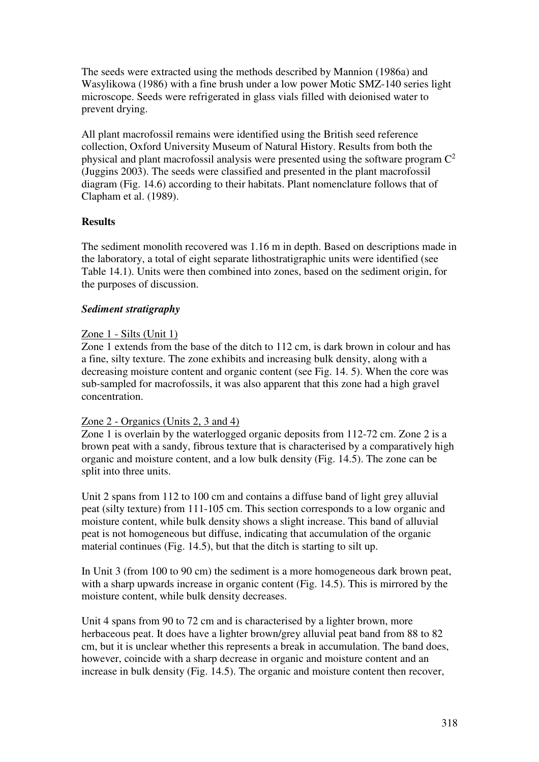The seeds were extracted using the methods described by Mannion (1986a) and Wasylikowa (1986) with a fine brush under a low power Motic SMZ-140 series light microscope. Seeds were refrigerated in glass vials filled with deionised water to prevent drying.

All plant macrofossil remains were identified using the British seed reference collection, Oxford University Museum of Natural History. Results from both the physical and plant macrofossil analysis were presented using the software program  $C^2$ (Juggins 2003). The seeds were classified and presented in the plant macrofossil diagram (Fig. 14.6) according to their habitats. Plant nomenclature follows that of Clapham et al. (1989).

## **Results**

The sediment monolith recovered was 1.16 m in depth. Based on descriptions made in the laboratory, a total of eight separate lithostratigraphic units were identified (see Table 14.1). Units were then combined into zones, based on the sediment origin, for the purposes of discussion.

## *Sediment stratigraphy*

## Zone 1 - Silts (Unit 1)

Zone 1 extends from the base of the ditch to 112 cm, is dark brown in colour and has a fine, silty texture. The zone exhibits and increasing bulk density, along with a decreasing moisture content and organic content (see Fig. 14. 5). When the core was sub-sampled for macrofossils, it was also apparent that this zone had a high gravel concentration.

## Zone 2 - Organics (Units 2, 3 and 4)

Zone 1 is overlain by the waterlogged organic deposits from 112-72 cm. Zone 2 is a brown peat with a sandy, fibrous texture that is characterised by a comparatively high organic and moisture content, and a low bulk density (Fig. 14.5). The zone can be split into three units.

Unit 2 spans from 112 to 100 cm and contains a diffuse band of light grey alluvial peat (silty texture) from 111-105 cm. This section corresponds to a low organic and moisture content, while bulk density shows a slight increase. This band of alluvial peat is not homogeneous but diffuse, indicating that accumulation of the organic material continues (Fig. 14.5), but that the ditch is starting to silt up.

In Unit 3 (from 100 to 90 cm) the sediment is a more homogeneous dark brown peat, with a sharp upwards increase in organic content (Fig. 14.5). This is mirrored by the moisture content, while bulk density decreases.

Unit 4 spans from 90 to 72 cm and is characterised by a lighter brown, more herbaceous peat. It does have a lighter brown/grey alluvial peat band from 88 to 82 cm, but it is unclear whether this represents a break in accumulation. The band does, however, coincide with a sharp decrease in organic and moisture content and an increase in bulk density (Fig. 14.5). The organic and moisture content then recover,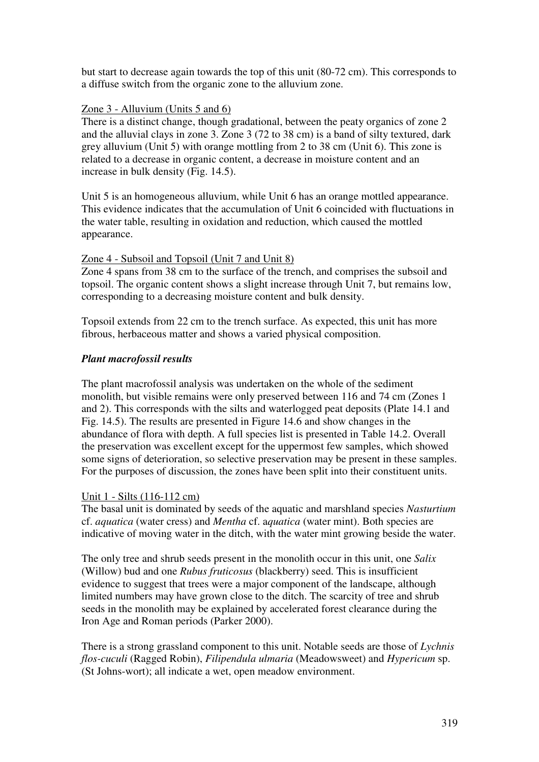but start to decrease again towards the top of this unit (80-72 cm). This corresponds to a diffuse switch from the organic zone to the alluvium zone.

## Zone 3 - Alluvium (Units 5 and 6)

There is a distinct change, though gradational, between the peaty organics of zone 2 and the alluvial clays in zone 3. Zone 3 (72 to 38 cm) is a band of silty textured, dark grey alluvium (Unit 5) with orange mottling from 2 to 38 cm (Unit 6). This zone is related to a decrease in organic content, a decrease in moisture content and an increase in bulk density (Fig. 14.5).

Unit 5 is an homogeneous alluvium, while Unit 6 has an orange mottled appearance. This evidence indicates that the accumulation of Unit 6 coincided with fluctuations in the water table, resulting in oxidation and reduction, which caused the mottled appearance.

## Zone 4 - Subsoil and Topsoil (Unit 7 and Unit 8)

Zone 4 spans from 38 cm to the surface of the trench, and comprises the subsoil and topsoil. The organic content shows a slight increase through Unit 7, but remains low, corresponding to a decreasing moisture content and bulk density.

Topsoil extends from 22 cm to the trench surface. As expected, this unit has more fibrous, herbaceous matter and shows a varied physical composition.

## *Plant macrofossil results*

The plant macrofossil analysis was undertaken on the whole of the sediment monolith, but visible remains were only preserved between 116 and 74 cm (Zones 1 and 2). This corresponds with the silts and waterlogged peat deposits (Plate 14.1 and Fig. 14.5). The results are presented in Figure 14.6 and show changes in the abundance of flora with depth. A full species list is presented in Table 14.2. Overall the preservation was excellent except for the uppermost few samples, which showed some signs of deterioration, so selective preservation may be present in these samples. For the purposes of discussion, the zones have been split into their constituent units.

### Unit 1 - Silts (116-112 cm)

The basal unit is dominated by seeds of the aquatic and marshland species *Nasturtium*  cf. *aquatica* (water cress) and *Mentha* cf. a*quatica* (water mint). Both species are indicative of moving water in the ditch, with the water mint growing beside the water.

The only tree and shrub seeds present in the monolith occur in this unit, one *Salix*  (Willow) bud and one *Rubus fruticosus* (blackberry) seed. This is insufficient evidence to suggest that trees were a major component of the landscape, although limited numbers may have grown close to the ditch. The scarcity of tree and shrub seeds in the monolith may be explained by accelerated forest clearance during the Iron Age and Roman periods (Parker 2000).

There is a strong grassland component to this unit. Notable seeds are those of *Lychnis flos-cuculi* (Ragged Robin), *Filipendula ulmaria* (Meadowsweet) and *Hypericum* sp. (St Johns-wort); all indicate a wet, open meadow environment.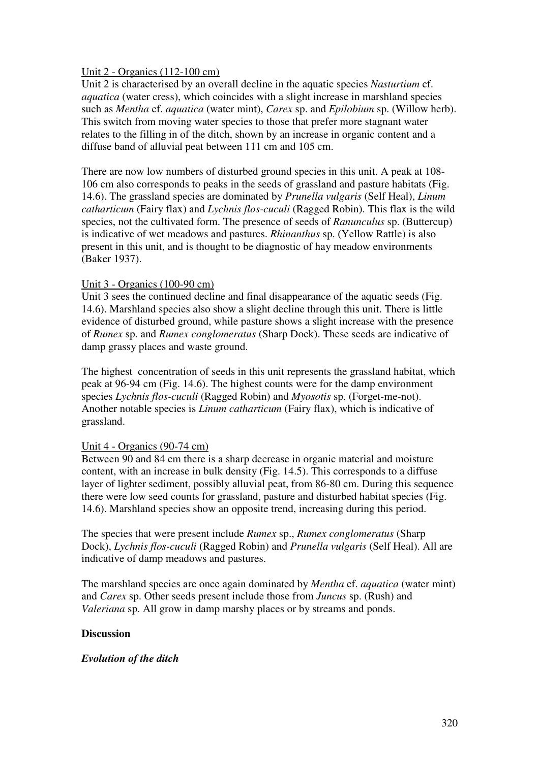## Unit 2 - Organics (112-100 cm)

Unit 2 is characterised by an overall decline in the aquatic species *Nasturtium* cf. *aquatica* (water cress), which coincides with a slight increase in marshland species such as *Mentha* cf. *aquatica* (water mint), *Carex* sp. and *Epilobium* sp. (Willow herb). This switch from moving water species to those that prefer more stagnant water relates to the filling in of the ditch, shown by an increase in organic content and a diffuse band of alluvial peat between 111 cm and 105 cm.

There are now low numbers of disturbed ground species in this unit. A peak at 108- 106 cm also corresponds to peaks in the seeds of grassland and pasture habitats (Fig. 14.6). The grassland species are dominated by *Prunella vulgaris* (Self Heal), *Linum catharticum* (Fairy flax) and *Lychnis flos-cuculi* (Ragged Robin). This flax is the wild species, not the cultivated form. The presence of seeds of *Ranunculus* sp. (Buttercup) is indicative of wet meadows and pastures. *Rhinanthus* sp. (Yellow Rattle) is also present in this unit, and is thought to be diagnostic of hay meadow environments (Baker 1937).

## Unit 3 - Organics (100-90 cm)

Unit 3 sees the continued decline and final disappearance of the aquatic seeds (Fig. 14.6). Marshland species also show a slight decline through this unit. There is little evidence of disturbed ground, while pasture shows a slight increase with the presence of *Rumex* sp. and *Rumex conglomeratus* (Sharp Dock). These seeds are indicative of damp grassy places and waste ground.

The highest concentration of seeds in this unit represents the grassland habitat, which peak at 96-94 cm (Fig. 14.6). The highest counts were for the damp environment species *Lychnis flos-cuculi* (Ragged Robin) and *Myosotis* sp. (Forget-me-not). Another notable species is *Linum catharticum* (Fairy flax), which is indicative of grassland.

### Unit 4 - Organics (90-74 cm)

Between 90 and 84 cm there is a sharp decrease in organic material and moisture content, with an increase in bulk density (Fig. 14.5). This corresponds to a diffuse layer of lighter sediment, possibly alluvial peat, from 86-80 cm. During this sequence there were low seed counts for grassland, pasture and disturbed habitat species (Fig. 14.6). Marshland species show an opposite trend, increasing during this period.

The species that were present include *Rumex* sp., *Rumex conglomeratus* (Sharp Dock), *Lychnis flos-cuculi* (Ragged Robin) and *Prunella vulgaris* (Self Heal). All are indicative of damp meadows and pastures.

The marshland species are once again dominated by *Mentha* cf. *aquatica* (water mint) and *Carex* sp. Other seeds present include those from *Juncus* sp. (Rush) and *Valeriana* sp. All grow in damp marshy places or by streams and ponds.

### **Discussion**

### *Evolution of the ditch*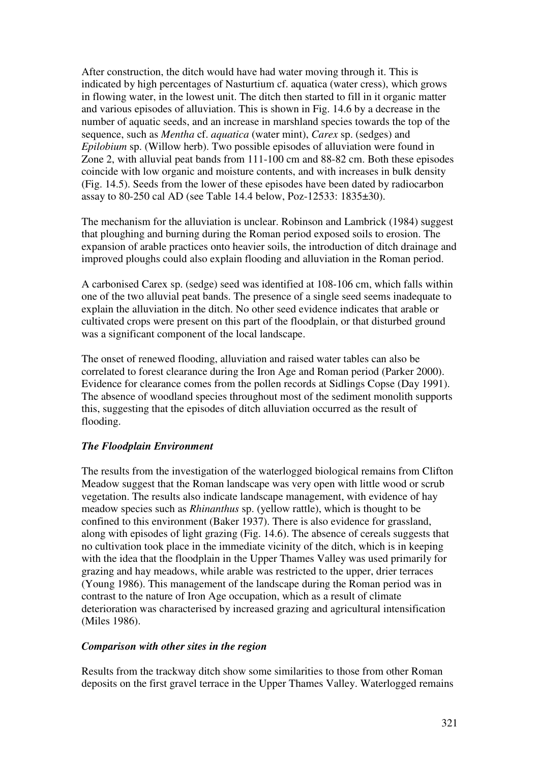After construction, the ditch would have had water moving through it. This is indicated by high percentages of Nasturtium cf. aquatica (water cress), which grows in flowing water, in the lowest unit. The ditch then started to fill in it organic matter and various episodes of alluviation. This is shown in Fig. 14.6 by a decrease in the number of aquatic seeds, and an increase in marshland species towards the top of the sequence, such as *Mentha* cf. *aquatica* (water mint), *Carex* sp. (sedges) and *Epilobium* sp. (Willow herb). Two possible episodes of alluviation were found in Zone 2, with alluvial peat bands from 111-100 cm and 88-82 cm. Both these episodes coincide with low organic and moisture contents, and with increases in bulk density (Fig. 14.5). Seeds from the lower of these episodes have been dated by radiocarbon assay to 80-250 cal AD (see Table 14.4 below, Poz-12533: 1835±30).

The mechanism for the alluviation is unclear. Robinson and Lambrick (1984) suggest that ploughing and burning during the Roman period exposed soils to erosion. The expansion of arable practices onto heavier soils, the introduction of ditch drainage and improved ploughs could also explain flooding and alluviation in the Roman period.

A carbonised Carex sp. (sedge) seed was identified at 108-106 cm, which falls within one of the two alluvial peat bands. The presence of a single seed seems inadequate to explain the alluviation in the ditch. No other seed evidence indicates that arable or cultivated crops were present on this part of the floodplain, or that disturbed ground was a significant component of the local landscape.

The onset of renewed flooding, alluviation and raised water tables can also be correlated to forest clearance during the Iron Age and Roman period (Parker 2000). Evidence for clearance comes from the pollen records at Sidlings Copse (Day 1991). The absence of woodland species throughout most of the sediment monolith supports this, suggesting that the episodes of ditch alluviation occurred as the result of flooding.

## *The Floodplain Environment*

The results from the investigation of the waterlogged biological remains from Clifton Meadow suggest that the Roman landscape was very open with little wood or scrub vegetation. The results also indicate landscape management, with evidence of hay meadow species such as *Rhinanthus* sp. (yellow rattle), which is thought to be confined to this environment (Baker 1937). There is also evidence for grassland, along with episodes of light grazing (Fig. 14.6). The absence of cereals suggests that no cultivation took place in the immediate vicinity of the ditch, which is in keeping with the idea that the floodplain in the Upper Thames Valley was used primarily for grazing and hay meadows, while arable was restricted to the upper, drier terraces (Young 1986). This management of the landscape during the Roman period was in contrast to the nature of Iron Age occupation, which as a result of climate deterioration was characterised by increased grazing and agricultural intensification (Miles 1986).

### *Comparison with other sites in the region*

Results from the trackway ditch show some similarities to those from other Roman deposits on the first gravel terrace in the Upper Thames Valley. Waterlogged remains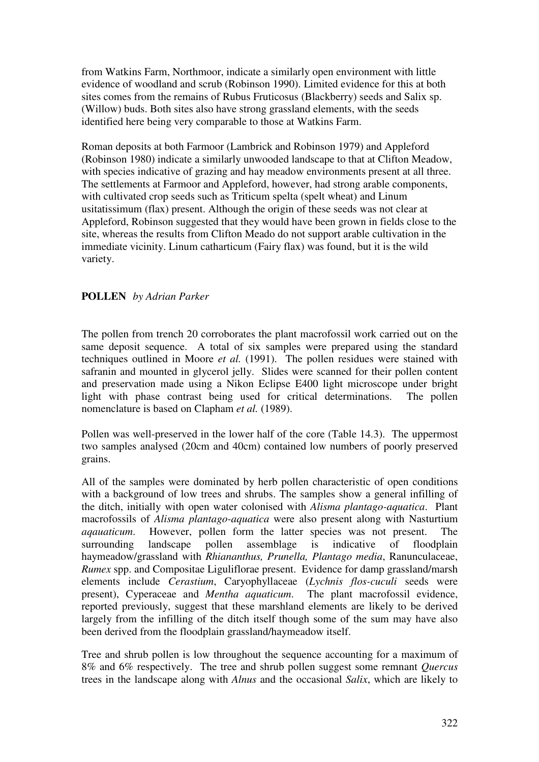from Watkins Farm, Northmoor, indicate a similarly open environment with little evidence of woodland and scrub (Robinson 1990). Limited evidence for this at both sites comes from the remains of Rubus Fruticosus (Blackberry) seeds and Salix sp. (Willow) buds. Both sites also have strong grassland elements, with the seeds identified here being very comparable to those at Watkins Farm.

Roman deposits at both Farmoor (Lambrick and Robinson 1979) and Appleford (Robinson 1980) indicate a similarly unwooded landscape to that at Clifton Meadow, with species indicative of grazing and hay meadow environments present at all three. The settlements at Farmoor and Appleford, however, had strong arable components, with cultivated crop seeds such as Triticum spelta (spelt wheat) and Linum usitatissimum (flax) present. Although the origin of these seeds was not clear at Appleford, Robinson suggested that they would have been grown in fields close to the site, whereas the results from Clifton Meado do not support arable cultivation in the immediate vicinity. Linum catharticum (Fairy flax) was found, but it is the wild variety.

## **POLLEN** *by Adrian Parker*

The pollen from trench 20 corroborates the plant macrofossil work carried out on the same deposit sequence. A total of six samples were prepared using the standard techniques outlined in Moore *et al.* (1991). The pollen residues were stained with safranin and mounted in glycerol jelly. Slides were scanned for their pollen content and preservation made using a Nikon Eclipse E400 light microscope under bright light with phase contrast being used for critical determinations. The pollen nomenclature is based on Clapham *et al.* (1989).

Pollen was well-preserved in the lower half of the core (Table 14.3). The uppermost two samples analysed (20cm and 40cm) contained low numbers of poorly preserved grains.

All of the samples were dominated by herb pollen characteristic of open conditions with a background of low trees and shrubs. The samples show a general infilling of the ditch, initially with open water colonised with *Alisma plantago-aquatica*. Plant macrofossils of *Alisma plantago-aquatica* were also present along with Nasturtium *aqauaticum*. However, pollen form the latter species was not present. The surrounding landscape pollen assemblage is indicative of floodplain haymeadow/grassland with *Rhiananthus, Prunella, Plantago media*, Ranunculaceae, *Rumex* spp. and Compositae Liguliflorae present. Evidence for damp grassland/marsh elements include *Cerastium*, Caryophyllaceae (*Lychnis flos-cuculi* seeds were present), Cyperaceae and *Mentha aquaticum*. The plant macrofossil evidence, reported previously, suggest that these marshland elements are likely to be derived largely from the infilling of the ditch itself though some of the sum may have also been derived from the floodplain grassland/haymeadow itself.

Tree and shrub pollen is low throughout the sequence accounting for a maximum of 8% and 6% respectively. The tree and shrub pollen suggest some remnant *Quercus* trees in the landscape along with *Alnus* and the occasional *Salix*, which are likely to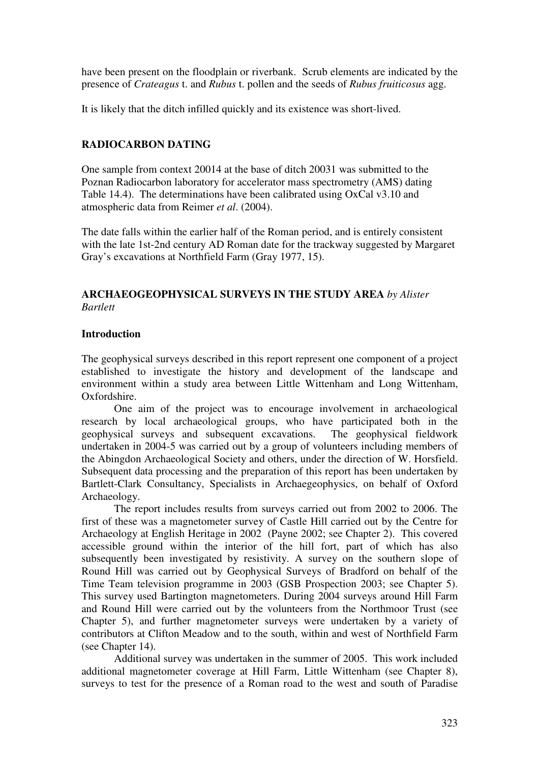have been present on the floodplain or riverbank. Scrub elements are indicated by the presence of *Crateagus* t. and *Rubus* t. pollen and the seeds of *Rubus fruiticosus* agg.

It is likely that the ditch infilled quickly and its existence was short-lived.

# **RADIOCARBON DATING**

One sample from context 20014 at the base of ditch 20031 was submitted to the Poznan Radiocarbon laboratory for accelerator mass spectrometry (AMS) dating Table 14.4). The determinations have been calibrated using OxCal v3.10 and atmospheric data from Reimer *et al*. (2004).

The date falls within the earlier half of the Roman period, and is entirely consistent with the late 1st-2nd century AD Roman date for the trackway suggested by Margaret Gray's excavations at Northfield Farm (Gray 1977, 15).

# **ARCHAEOGEOPHYSICAL SURVEYS IN THE STUDY AREA** *by Alister Bartlett*

## **Introduction**

The geophysical surveys described in this report represent one component of a project established to investigate the history and development of the landscape and environment within a study area between Little Wittenham and Long Wittenham, Oxfordshire.

One aim of the project was to encourage involvement in archaeological research by local archaeological groups, who have participated both in the geophysical surveys and subsequent excavations. The geophysical fieldwork undertaken in 2004-5 was carried out by a group of volunteers including members of the Abingdon Archaeological Society and others, under the direction of W. Horsfield. Subsequent data processing and the preparation of this report has been undertaken by Bartlett-Clark Consultancy, Specialists in Archaegeophysics, on behalf of Oxford Archaeology.

The report includes results from surveys carried out from 2002 to 2006. The first of these was a magnetometer survey of Castle Hill carried out by the Centre for Archaeology at English Heritage in 2002 (Payne 2002; see Chapter 2). This covered accessible ground within the interior of the hill fort, part of which has also subsequently been investigated by resistivity. A survey on the southern slope of Round Hill was carried out by Geophysical Surveys of Bradford on behalf of the Time Team television programme in 2003 (GSB Prospection 2003; see Chapter 5). This survey used Bartington magnetometers. During 2004 surveys around Hill Farm and Round Hill were carried out by the volunteers from the Northmoor Trust (see Chapter 5), and further magnetometer surveys were undertaken by a variety of contributors at Clifton Meadow and to the south, within and west of Northfield Farm (see Chapter 14).

Additional survey was undertaken in the summer of 2005. This work included additional magnetometer coverage at Hill Farm, Little Wittenham (see Chapter 8), surveys to test for the presence of a Roman road to the west and south of Paradise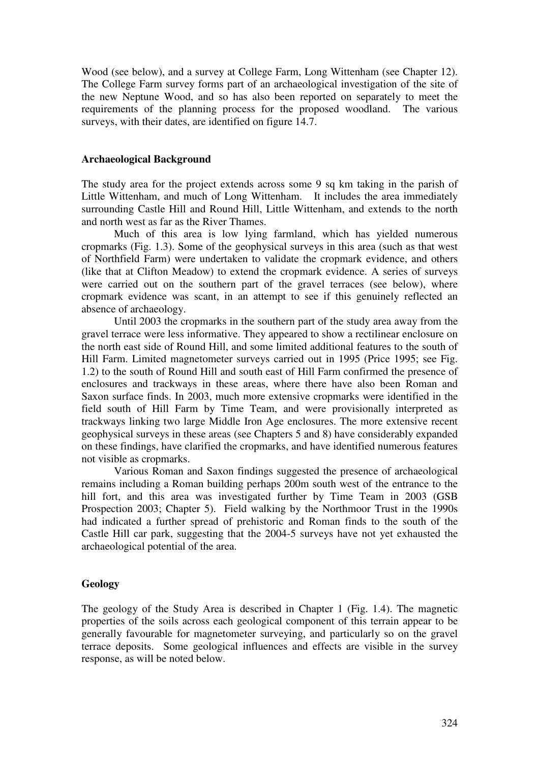Wood (see below), and a survey at College Farm, Long Wittenham (see Chapter 12). The College Farm survey forms part of an archaeological investigation of the site of the new Neptune Wood, and so has also been reported on separately to meet the requirements of the planning process for the proposed woodland. The various surveys, with their dates, are identified on figure 14.7.

#### **Archaeological Background**

The study area for the project extends across some 9 sq km taking in the parish of Little Wittenham, and much of Long Wittenham. It includes the area immediately surrounding Castle Hill and Round Hill, Little Wittenham, and extends to the north and north west as far as the River Thames.

Much of this area is low lying farmland, which has yielded numerous cropmarks (Fig. 1.3). Some of the geophysical surveys in this area (such as that west of Northfield Farm) were undertaken to validate the cropmark evidence, and others (like that at Clifton Meadow) to extend the cropmark evidence. A series of surveys were carried out on the southern part of the gravel terraces (see below), where cropmark evidence was scant, in an attempt to see if this genuinely reflected an absence of archaeology.

Until 2003 the cropmarks in the southern part of the study area away from the gravel terrace were less informative. They appeared to show a rectilinear enclosure on the north east side of Round Hill, and some limited additional features to the south of Hill Farm. Limited magnetometer surveys carried out in 1995 (Price 1995; see Fig. 1.2) to the south of Round Hill and south east of Hill Farm confirmed the presence of enclosures and trackways in these areas, where there have also been Roman and Saxon surface finds. In 2003, much more extensive cropmarks were identified in the field south of Hill Farm by Time Team, and were provisionally interpreted as trackways linking two large Middle Iron Age enclosures. The more extensive recent geophysical surveys in these areas (see Chapters 5 and 8) have considerably expanded on these findings, have clarified the cropmarks, and have identified numerous features not visible as cropmarks.

Various Roman and Saxon findings suggested the presence of archaeological remains including a Roman building perhaps 200m south west of the entrance to the hill fort, and this area was investigated further by Time Team in 2003 (GSB Prospection 2003; Chapter 5). Field walking by the Northmoor Trust in the 1990s had indicated a further spread of prehistoric and Roman finds to the south of the Castle Hill car park, suggesting that the 2004-5 surveys have not yet exhausted the archaeological potential of the area.

### **Geology**

The geology of the Study Area is described in Chapter 1 (Fig. 1.4). The magnetic properties of the soils across each geological component of this terrain appear to be generally favourable for magnetometer surveying, and particularly so on the gravel terrace deposits. Some geological influences and effects are visible in the survey response, as will be noted below.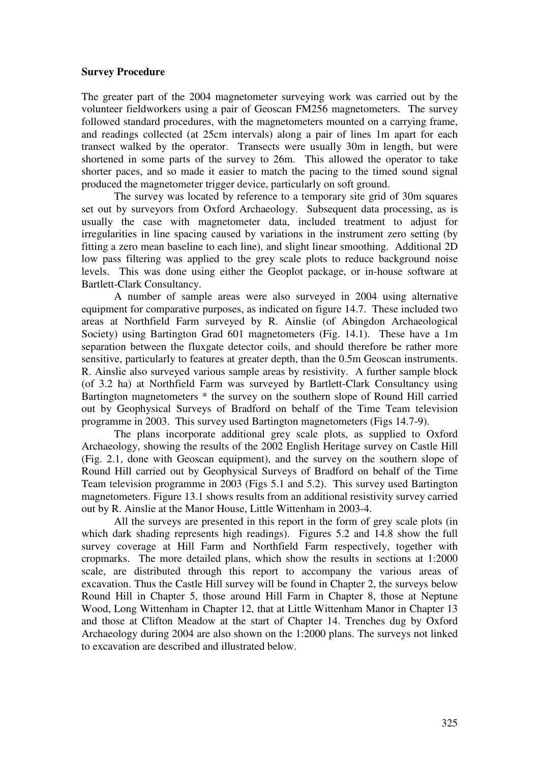### **Survey Procedure**

The greater part of the 2004 magnetometer surveying work was carried out by the volunteer fieldworkers using a pair of Geoscan FM256 magnetometers. The survey followed standard procedures, with the magnetometers mounted on a carrying frame, and readings collected (at 25cm intervals) along a pair of lines 1m apart for each transect walked by the operator. Transects were usually 30m in length, but were shortened in some parts of the survey to 26m. This allowed the operator to take shorter paces, and so made it easier to match the pacing to the timed sound signal produced the magnetometer trigger device, particularly on soft ground.

The survey was located by reference to a temporary site grid of 30m squares set out by surveyors from Oxford Archaeology. Subsequent data processing, as is usually the case with magnetometer data, included treatment to adjust for irregularities in line spacing caused by variations in the instrument zero setting (by fitting a zero mean baseline to each line), and slight linear smoothing. Additional 2D low pass filtering was applied to the grey scale plots to reduce background noise levels. This was done using either the Geoplot package, or in-house software at Bartlett-Clark Consultancy.

A number of sample areas were also surveyed in 2004 using alternative equipment for comparative purposes, as indicated on figure 14.7. These included two areas at Northfield Farm surveyed by R. Ainslie (of Abingdon Archaeological Society) using Bartington Grad 601 magnetometers (Fig. 14.1). These have a 1m separation between the fluxgate detector coils, and should therefore be rather more sensitive, particularly to features at greater depth, than the 0.5m Geoscan instruments. R. Ainslie also surveyed various sample areas by resistivity. A further sample block (of 3.2 ha) at Northfield Farm was surveyed by Bartlett-Clark Consultancy using Bartington magnetometers \* the survey on the southern slope of Round Hill carried out by Geophysical Surveys of Bradford on behalf of the Time Team television programme in 2003. This survey used Bartington magnetometers (Figs 14.7-9).

The plans incorporate additional grey scale plots, as supplied to Oxford Archaeology, showing the results of the 2002 English Heritage survey on Castle Hill (Fig. 2.1, done with Geoscan equipment), and the survey on the southern slope of Round Hill carried out by Geophysical Surveys of Bradford on behalf of the Time Team television programme in 2003 (Figs 5.1 and 5.2). This survey used Bartington magnetometers. Figure 13.1 shows results from an additional resistivity survey carried out by R. Ainslie at the Manor House, Little Wittenham in 2003-4.

All the surveys are presented in this report in the form of grey scale plots (in which dark shading represents high readings). Figures 5.2 and 14.8 show the full survey coverage at Hill Farm and Northfield Farm respectively, together with cropmarks. The more detailed plans, which show the results in sections at 1:2000 scale, are distributed through this report to accompany the various areas of excavation. Thus the Castle Hill survey will be found in Chapter 2, the surveys below Round Hill in Chapter 5, those around Hill Farm in Chapter 8, those at Neptune Wood, Long Wittenham in Chapter 12, that at Little Wittenham Manor in Chapter 13 and those at Clifton Meadow at the start of Chapter 14. Trenches dug by Oxford Archaeology during 2004 are also shown on the 1:2000 plans. The surveys not linked to excavation are described and illustrated below.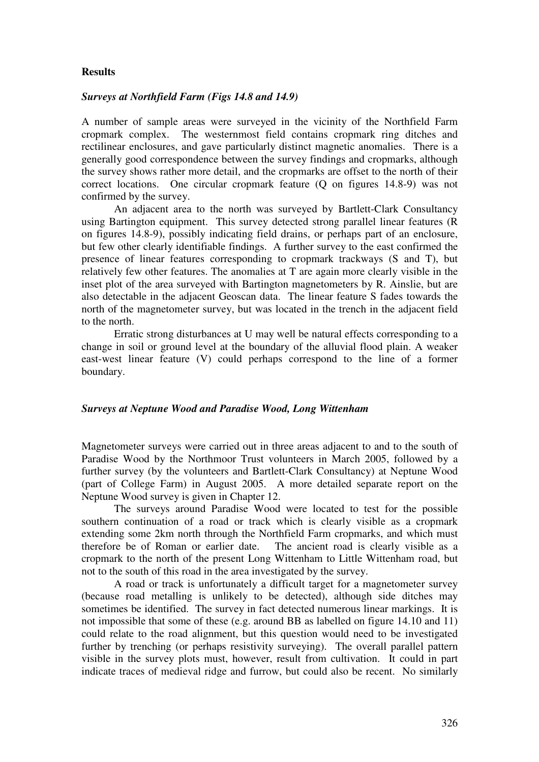### **Results**

#### *Surveys at Northfield Farm (Figs 14.8 and 14.9)*

A number of sample areas were surveyed in the vicinity of the Northfield Farm cropmark complex. The westernmost field contains cropmark ring ditches and rectilinear enclosures, and gave particularly distinct magnetic anomalies. There is a generally good correspondence between the survey findings and cropmarks, although the survey shows rather more detail, and the cropmarks are offset to the north of their correct locations. One circular cropmark feature (Q on figures 14.8-9) was not confirmed by the survey.

An adjacent area to the north was surveyed by Bartlett-Clark Consultancy using Bartington equipment. This survey detected strong parallel linear features (R on figures 14.8-9), possibly indicating field drains, or perhaps part of an enclosure, but few other clearly identifiable findings. A further survey to the east confirmed the presence of linear features corresponding to cropmark trackways (S and T), but relatively few other features. The anomalies at T are again more clearly visible in the inset plot of the area surveyed with Bartington magnetometers by R. Ainslie, but are also detectable in the adjacent Geoscan data. The linear feature S fades towards the north of the magnetometer survey, but was located in the trench in the adjacent field to the north.

Erratic strong disturbances at U may well be natural effects corresponding to a change in soil or ground level at the boundary of the alluvial flood plain. A weaker east-west linear feature (V) could perhaps correspond to the line of a former boundary.

#### *Surveys at Neptune Wood and Paradise Wood, Long Wittenham*

Magnetometer surveys were carried out in three areas adjacent to and to the south of Paradise Wood by the Northmoor Trust volunteers in March 2005, followed by a further survey (by the volunteers and Bartlett-Clark Consultancy) at Neptune Wood (part of College Farm) in August 2005. A more detailed separate report on the Neptune Wood survey is given in Chapter 12.

The surveys around Paradise Wood were located to test for the possible southern continuation of a road or track which is clearly visible as a cropmark extending some 2km north through the Northfield Farm cropmarks, and which must therefore be of Roman or earlier date. The ancient road is clearly visible as a cropmark to the north of the present Long Wittenham to Little Wittenham road, but not to the south of this road in the area investigated by the survey.

A road or track is unfortunately a difficult target for a magnetometer survey (because road metalling is unlikely to be detected), although side ditches may sometimes be identified. The survey in fact detected numerous linear markings. It is not impossible that some of these (e.g. around BB as labelled on figure 14.10 and 11) could relate to the road alignment, but this question would need to be investigated further by trenching (or perhaps resistivity surveying). The overall parallel pattern visible in the survey plots must, however, result from cultivation. It could in part indicate traces of medieval ridge and furrow, but could also be recent. No similarly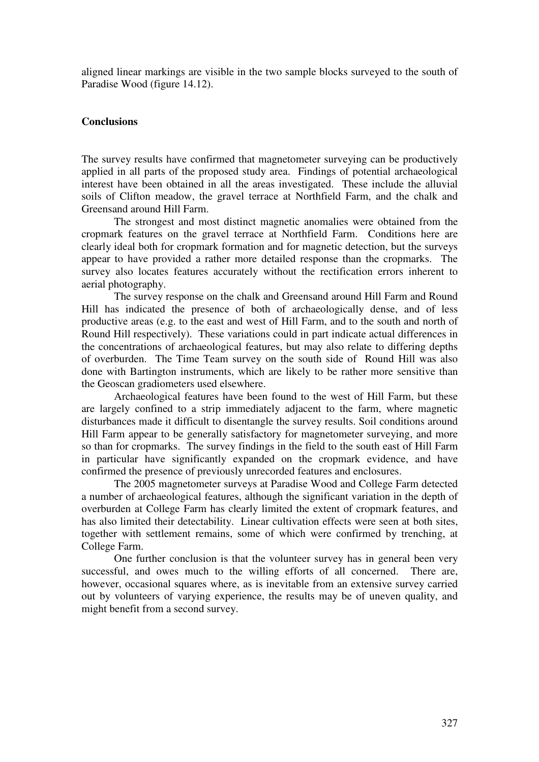aligned linear markings are visible in the two sample blocks surveyed to the south of Paradise Wood (figure 14.12).

#### **Conclusions**

The survey results have confirmed that magnetometer surveying can be productively applied in all parts of the proposed study area. Findings of potential archaeological interest have been obtained in all the areas investigated. These include the alluvial soils of Clifton meadow, the gravel terrace at Northfield Farm, and the chalk and Greensand around Hill Farm.

The strongest and most distinct magnetic anomalies were obtained from the cropmark features on the gravel terrace at Northfield Farm. Conditions here are clearly ideal both for cropmark formation and for magnetic detection, but the surveys appear to have provided a rather more detailed response than the cropmarks. The survey also locates features accurately without the rectification errors inherent to aerial photography.

The survey response on the chalk and Greensand around Hill Farm and Round Hill has indicated the presence of both of archaeologically dense, and of less productive areas (e.g. to the east and west of Hill Farm, and to the south and north of Round Hill respectively). These variations could in part indicate actual differences in the concentrations of archaeological features, but may also relate to differing depths of overburden. The Time Team survey on the south side of Round Hill was also done with Bartington instruments, which are likely to be rather more sensitive than the Geoscan gradiometers used elsewhere.

Archaeological features have been found to the west of Hill Farm, but these are largely confined to a strip immediately adjacent to the farm, where magnetic disturbances made it difficult to disentangle the survey results. Soil conditions around Hill Farm appear to be generally satisfactory for magnetometer surveying, and more so than for cropmarks. The survey findings in the field to the south east of Hill Farm in particular have significantly expanded on the cropmark evidence, and have confirmed the presence of previously unrecorded features and enclosures.

The 2005 magnetometer surveys at Paradise Wood and College Farm detected a number of archaeological features, although the significant variation in the depth of overburden at College Farm has clearly limited the extent of cropmark features, and has also limited their detectability. Linear cultivation effects were seen at both sites, together with settlement remains, some of which were confirmed by trenching, at College Farm.

One further conclusion is that the volunteer survey has in general been very successful, and owes much to the willing efforts of all concerned. There are, however, occasional squares where, as is inevitable from an extensive survey carried out by volunteers of varying experience, the results may be of uneven quality, and might benefit from a second survey.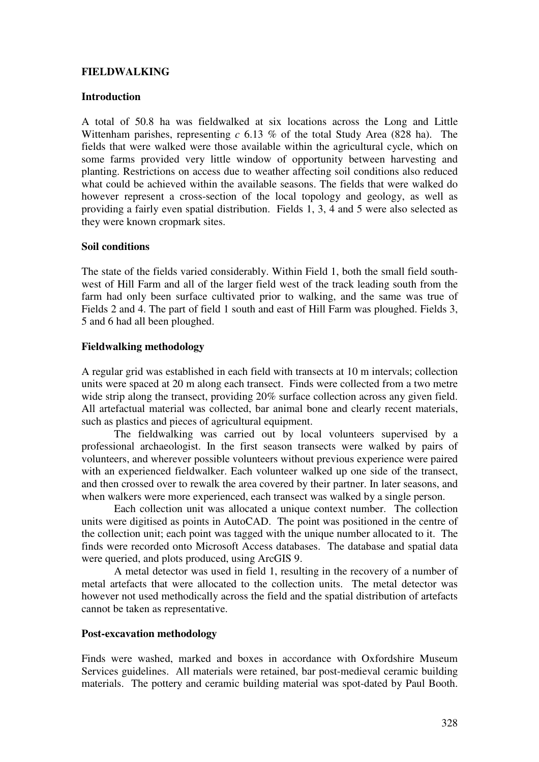## **FIELDWALKING**

### **Introduction**

A total of 50.8 ha was fieldwalked at six locations across the Long and Little Wittenham parishes, representing *c* 6.13 % of the total Study Area (828 ha). The fields that were walked were those available within the agricultural cycle, which on some farms provided very little window of opportunity between harvesting and planting. Restrictions on access due to weather affecting soil conditions also reduced what could be achieved within the available seasons. The fields that were walked do however represent a cross-section of the local topology and geology, as well as providing a fairly even spatial distribution. Fields 1, 3, 4 and 5 were also selected as they were known cropmark sites.

### **Soil conditions**

The state of the fields varied considerably. Within Field 1, both the small field southwest of Hill Farm and all of the larger field west of the track leading south from the farm had only been surface cultivated prior to walking, and the same was true of Fields 2 and 4. The part of field 1 south and east of Hill Farm was ploughed. Fields 3, 5 and 6 had all been ploughed.

### **Fieldwalking methodology**

A regular grid was established in each field with transects at 10 m intervals; collection units were spaced at 20 m along each transect. Finds were collected from a two metre wide strip along the transect, providing 20% surface collection across any given field. All artefactual material was collected, bar animal bone and clearly recent materials, such as plastics and pieces of agricultural equipment.

The fieldwalking was carried out by local volunteers supervised by a professional archaeologist. In the first season transects were walked by pairs of volunteers, and wherever possible volunteers without previous experience were paired with an experienced fieldwalker. Each volunteer walked up one side of the transect, and then crossed over to rewalk the area covered by their partner. In later seasons, and when walkers were more experienced, each transect was walked by a single person.

Each collection unit was allocated a unique context number. The collection units were digitised as points in AutoCAD. The point was positioned in the centre of the collection unit; each point was tagged with the unique number allocated to it. The finds were recorded onto Microsoft Access databases. The database and spatial data were queried, and plots produced, using ArcGIS 9.

A metal detector was used in field 1, resulting in the recovery of a number of metal artefacts that were allocated to the collection units. The metal detector was however not used methodically across the field and the spatial distribution of artefacts cannot be taken as representative.

#### **Post-excavation methodology**

Finds were washed, marked and boxes in accordance with Oxfordshire Museum Services guidelines. All materials were retained, bar post-medieval ceramic building materials. The pottery and ceramic building material was spot-dated by Paul Booth.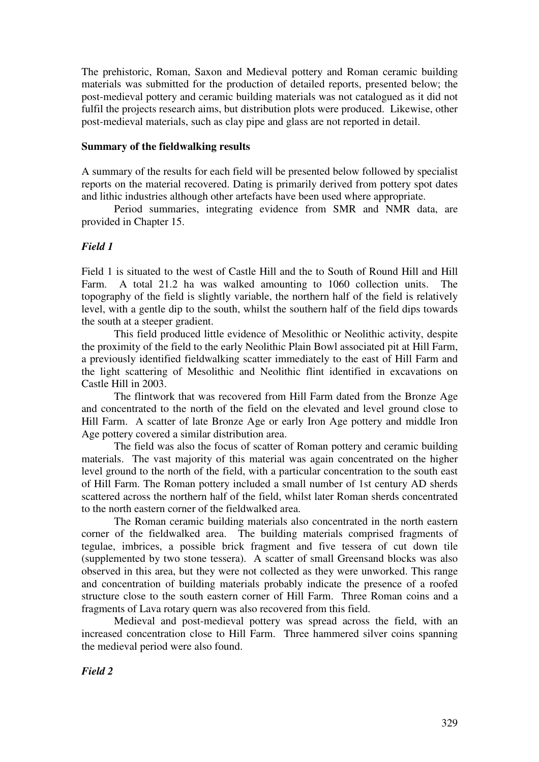The prehistoric, Roman, Saxon and Medieval pottery and Roman ceramic building materials was submitted for the production of detailed reports, presented below; the post-medieval pottery and ceramic building materials was not catalogued as it did not fulfil the projects research aims, but distribution plots were produced. Likewise, other post-medieval materials, such as clay pipe and glass are not reported in detail.

#### **Summary of the fieldwalking results**

A summary of the results for each field will be presented below followed by specialist reports on the material recovered. Dating is primarily derived from pottery spot dates and lithic industries although other artefacts have been used where appropriate.

Period summaries, integrating evidence from SMR and NMR data, are provided in Chapter 15.

### *Field 1*

Field 1 is situated to the west of Castle Hill and the to South of Round Hill and Hill Farm. A total 21.2 ha was walked amounting to 1060 collection units. The topography of the field is slightly variable, the northern half of the field is relatively level, with a gentle dip to the south, whilst the southern half of the field dips towards the south at a steeper gradient.

This field produced little evidence of Mesolithic or Neolithic activity, despite the proximity of the field to the early Neolithic Plain Bowl associated pit at Hill Farm, a previously identified fieldwalking scatter immediately to the east of Hill Farm and the light scattering of Mesolithic and Neolithic flint identified in excavations on Castle Hill in 2003.

The flintwork that was recovered from Hill Farm dated from the Bronze Age and concentrated to the north of the field on the elevated and level ground close to Hill Farm. A scatter of late Bronze Age or early Iron Age pottery and middle Iron Age pottery covered a similar distribution area.

The field was also the focus of scatter of Roman pottery and ceramic building materials. The vast majority of this material was again concentrated on the higher level ground to the north of the field, with a particular concentration to the south east of Hill Farm. The Roman pottery included a small number of 1st century AD sherds scattered across the northern half of the field, whilst later Roman sherds concentrated to the north eastern corner of the fieldwalked area.

The Roman ceramic building materials also concentrated in the north eastern corner of the fieldwalked area. The building materials comprised fragments of tegulae, imbrices, a possible brick fragment and five tessera of cut down tile (supplemented by two stone tessera). A scatter of small Greensand blocks was also observed in this area, but they were not collected as they were unworked. This range and concentration of building materials probably indicate the presence of a roofed structure close to the south eastern corner of Hill Farm. Three Roman coins and a fragments of Lava rotary quern was also recovered from this field.

Medieval and post-medieval pottery was spread across the field, with an increased concentration close to Hill Farm. Three hammered silver coins spanning the medieval period were also found.

*Field 2*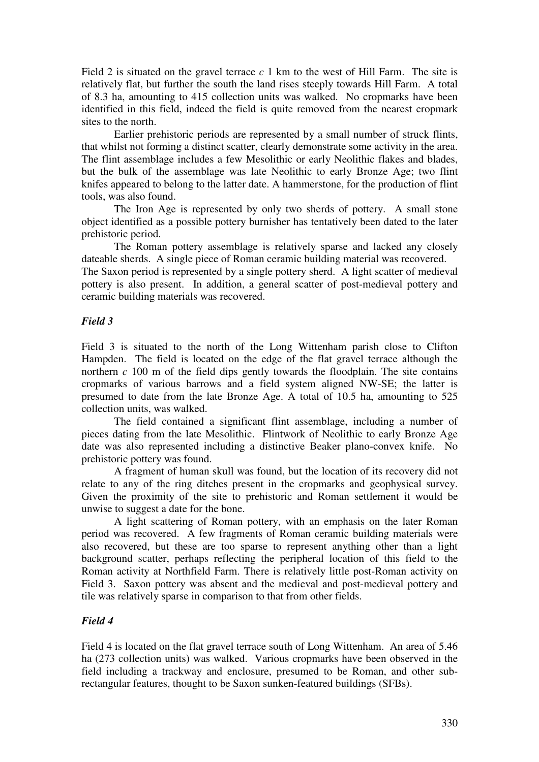Field 2 is situated on the gravel terrace *c* 1 km to the west of Hill Farm. The site is relatively flat, but further the south the land rises steeply towards Hill Farm. A total of 8.3 ha, amounting to 415 collection units was walked. No cropmarks have been identified in this field, indeed the field is quite removed from the nearest cropmark sites to the north.

Earlier prehistoric periods are represented by a small number of struck flints, that whilst not forming a distinct scatter, clearly demonstrate some activity in the area. The flint assemblage includes a few Mesolithic or early Neolithic flakes and blades, but the bulk of the assemblage was late Neolithic to early Bronze Age; two flint knifes appeared to belong to the latter date. A hammerstone, for the production of flint tools, was also found.

The Iron Age is represented by only two sherds of pottery. A small stone object identified as a possible pottery burnisher has tentatively been dated to the later prehistoric period.

The Roman pottery assemblage is relatively sparse and lacked any closely dateable sherds. A single piece of Roman ceramic building material was recovered. The Saxon period is represented by a single pottery sherd. A light scatter of medieval

pottery is also present. In addition, a general scatter of post-medieval pottery and ceramic building materials was recovered.

## *Field 3*

Field 3 is situated to the north of the Long Wittenham parish close to Clifton Hampden. The field is located on the edge of the flat gravel terrace although the northern  $c$  100 m of the field dips gently towards the floodplain. The site contains cropmarks of various barrows and a field system aligned NW-SE; the latter is presumed to date from the late Bronze Age. A total of 10.5 ha, amounting to 525 collection units, was walked.

The field contained a significant flint assemblage, including a number of pieces dating from the late Mesolithic. Flintwork of Neolithic to early Bronze Age date was also represented including a distinctive Beaker plano-convex knife. No prehistoric pottery was found.

A fragment of human skull was found, but the location of its recovery did not relate to any of the ring ditches present in the cropmarks and geophysical survey. Given the proximity of the site to prehistoric and Roman settlement it would be unwise to suggest a date for the bone.

A light scattering of Roman pottery, with an emphasis on the later Roman period was recovered. A few fragments of Roman ceramic building materials were also recovered, but these are too sparse to represent anything other than a light background scatter, perhaps reflecting the peripheral location of this field to the Roman activity at Northfield Farm. There is relatively little post-Roman activity on Field 3. Saxon pottery was absent and the medieval and post-medieval pottery and tile was relatively sparse in comparison to that from other fields.

## *Field 4*

Field 4 is located on the flat gravel terrace south of Long Wittenham. An area of 5.46 ha (273 collection units) was walked. Various cropmarks have been observed in the field including a trackway and enclosure, presumed to be Roman, and other subrectangular features, thought to be Saxon sunken-featured buildings (SFBs).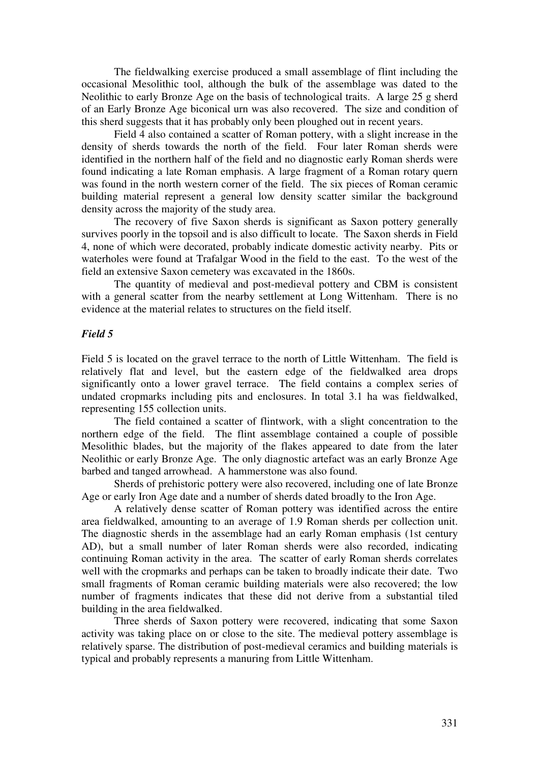The fieldwalking exercise produced a small assemblage of flint including the occasional Mesolithic tool, although the bulk of the assemblage was dated to the Neolithic to early Bronze Age on the basis of technological traits. A large 25 g sherd of an Early Bronze Age biconical urn was also recovered. The size and condition of this sherd suggests that it has probably only been ploughed out in recent years.

Field 4 also contained a scatter of Roman pottery, with a slight increase in the density of sherds towards the north of the field. Four later Roman sherds were identified in the northern half of the field and no diagnostic early Roman sherds were found indicating a late Roman emphasis. A large fragment of a Roman rotary quern was found in the north western corner of the field. The six pieces of Roman ceramic building material represent a general low density scatter similar the background density across the majority of the study area.

The recovery of five Saxon sherds is significant as Saxon pottery generally survives poorly in the topsoil and is also difficult to locate. The Saxon sherds in Field 4, none of which were decorated, probably indicate domestic activity nearby. Pits or waterholes were found at Trafalgar Wood in the field to the east. To the west of the field an extensive Saxon cemetery was excavated in the 1860s.

The quantity of medieval and post-medieval pottery and CBM is consistent with a general scatter from the nearby settlement at Long Wittenham. There is no evidence at the material relates to structures on the field itself.

### *Field 5*

Field 5 is located on the gravel terrace to the north of Little Wittenham. The field is relatively flat and level, but the eastern edge of the fieldwalked area drops significantly onto a lower gravel terrace. The field contains a complex series of undated cropmarks including pits and enclosures. In total 3.1 ha was fieldwalked, representing 155 collection units.

The field contained a scatter of flintwork, with a slight concentration to the northern edge of the field. The flint assemblage contained a couple of possible Mesolithic blades, but the majority of the flakes appeared to date from the later Neolithic or early Bronze Age. The only diagnostic artefact was an early Bronze Age barbed and tanged arrowhead. A hammerstone was also found.

Sherds of prehistoric pottery were also recovered, including one of late Bronze Age or early Iron Age date and a number of sherds dated broadly to the Iron Age.

A relatively dense scatter of Roman pottery was identified across the entire area fieldwalked, amounting to an average of 1.9 Roman sherds per collection unit. The diagnostic sherds in the assemblage had an early Roman emphasis (1st century AD), but a small number of later Roman sherds were also recorded, indicating continuing Roman activity in the area. The scatter of early Roman sherds correlates well with the cropmarks and perhaps can be taken to broadly indicate their date. Two small fragments of Roman ceramic building materials were also recovered; the low number of fragments indicates that these did not derive from a substantial tiled building in the area fieldwalked.

Three sherds of Saxon pottery were recovered, indicating that some Saxon activity was taking place on or close to the site. The medieval pottery assemblage is relatively sparse. The distribution of post-medieval ceramics and building materials is typical and probably represents a manuring from Little Wittenham.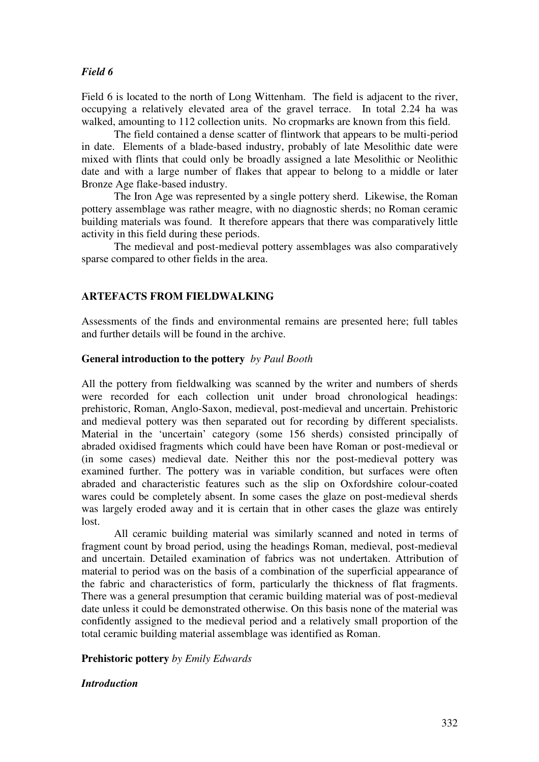## *Field 6*

Field 6 is located to the north of Long Wittenham. The field is adjacent to the river, occupying a relatively elevated area of the gravel terrace. In total 2.24 ha was walked, amounting to 112 collection units. No cropmarks are known from this field.

The field contained a dense scatter of flintwork that appears to be multi-period in date. Elements of a blade-based industry, probably of late Mesolithic date were mixed with flints that could only be broadly assigned a late Mesolithic or Neolithic date and with a large number of flakes that appear to belong to a middle or later Bronze Age flake-based industry.

The Iron Age was represented by a single pottery sherd. Likewise, the Roman pottery assemblage was rather meagre, with no diagnostic sherds; no Roman ceramic building materials was found. It therefore appears that there was comparatively little activity in this field during these periods.

The medieval and post-medieval pottery assemblages was also comparatively sparse compared to other fields in the area.

## **ARTEFACTS FROM FIELDWALKING**

Assessments of the finds and environmental remains are presented here; full tables and further details will be found in the archive.

### **General introduction to the pottery** *by Paul Booth*

All the pottery from fieldwalking was scanned by the writer and numbers of sherds were recorded for each collection unit under broad chronological headings: prehistoric, Roman, Anglo-Saxon, medieval, post-medieval and uncertain. Prehistoric and medieval pottery was then separated out for recording by different specialists. Material in the 'uncertain' category (some 156 sherds) consisted principally of abraded oxidised fragments which could have been have Roman or post-medieval or (in some cases) medieval date. Neither this nor the post-medieval pottery was examined further. The pottery was in variable condition, but surfaces were often abraded and characteristic features such as the slip on Oxfordshire colour-coated wares could be completely absent. In some cases the glaze on post-medieval sherds was largely eroded away and it is certain that in other cases the glaze was entirely lost.

All ceramic building material was similarly scanned and noted in terms of fragment count by broad period, using the headings Roman, medieval, post-medieval and uncertain. Detailed examination of fabrics was not undertaken. Attribution of material to period was on the basis of a combination of the superficial appearance of the fabric and characteristics of form, particularly the thickness of flat fragments. There was a general presumption that ceramic building material was of post-medieval date unless it could be demonstrated otherwise. On this basis none of the material was confidently assigned to the medieval period and a relatively small proportion of the total ceramic building material assemblage was identified as Roman.

### **Prehistoric pottery** *by Emily Edwards*

### *Introduction*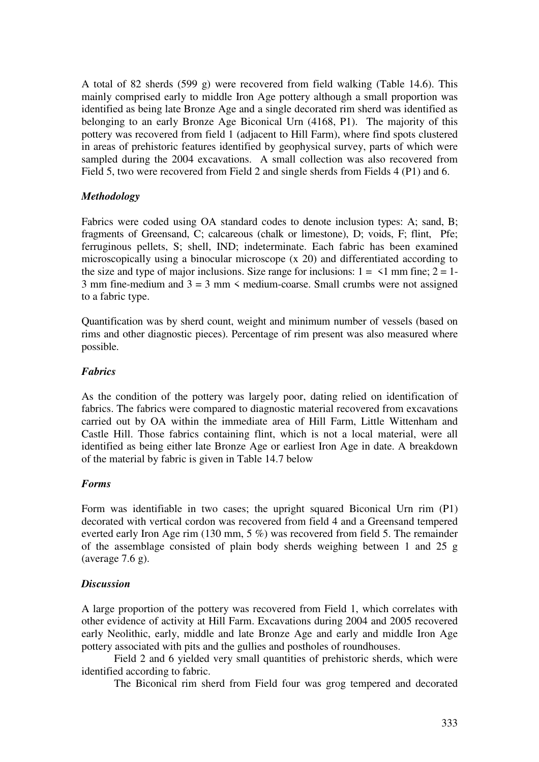A total of 82 sherds (599 g) were recovered from field walking (Table 14.6). This mainly comprised early to middle Iron Age pottery although a small proportion was identified as being late Bronze Age and a single decorated rim sherd was identified as belonging to an early Bronze Age Biconical Urn (4168, P1). The majority of this pottery was recovered from field 1 (adjacent to Hill Farm), where find spots clustered in areas of prehistoric features identified by geophysical survey, parts of which were sampled during the 2004 excavations. A small collection was also recovered from Field 5, two were recovered from Field 2 and single sherds from Fields 4 (P1) and 6.

## *Methodology*

Fabrics were coded using OA standard codes to denote inclusion types: A; sand, B; fragments of Greensand, C; calcareous (chalk or limestone), D; voids, F; flint, Pfe; ferruginous pellets, S; shell, IND; indeterminate. Each fabric has been examined microscopically using a binocular microscope (x 20) and differentiated according to the size and type of major inclusions. Size range for inclusions:  $1 = \langle 1 \text{ mm fine}; 2 = 1$ -3 mm fine-medium and  $3 = 3$  mm  $\leq$  medium-coarse. Small crumbs were not assigned to a fabric type.

Quantification was by sherd count, weight and minimum number of vessels (based on rims and other diagnostic pieces). Percentage of rim present was also measured where possible.

### *Fabrics*

As the condition of the pottery was largely poor, dating relied on identification of fabrics. The fabrics were compared to diagnostic material recovered from excavations carried out by OA within the immediate area of Hill Farm, Little Wittenham and Castle Hill. Those fabrics containing flint, which is not a local material, were all identified as being either late Bronze Age or earliest Iron Age in date. A breakdown of the material by fabric is given in Table 14.7 below

### *Forms*

Form was identifiable in two cases; the upright squared Biconical Urn rim (P1) decorated with vertical cordon was recovered from field 4 and a Greensand tempered everted early Iron Age rim (130 mm, 5 %) was recovered from field 5. The remainder of the assemblage consisted of plain body sherds weighing between 1 and 25 g (average 7.6 g).

## *Discussion*

A large proportion of the pottery was recovered from Field 1, which correlates with other evidence of activity at Hill Farm. Excavations during 2004 and 2005 recovered early Neolithic, early, middle and late Bronze Age and early and middle Iron Age pottery associated with pits and the gullies and postholes of roundhouses.

Field 2 and 6 yielded very small quantities of prehistoric sherds, which were identified according to fabric.

The Biconical rim sherd from Field four was grog tempered and decorated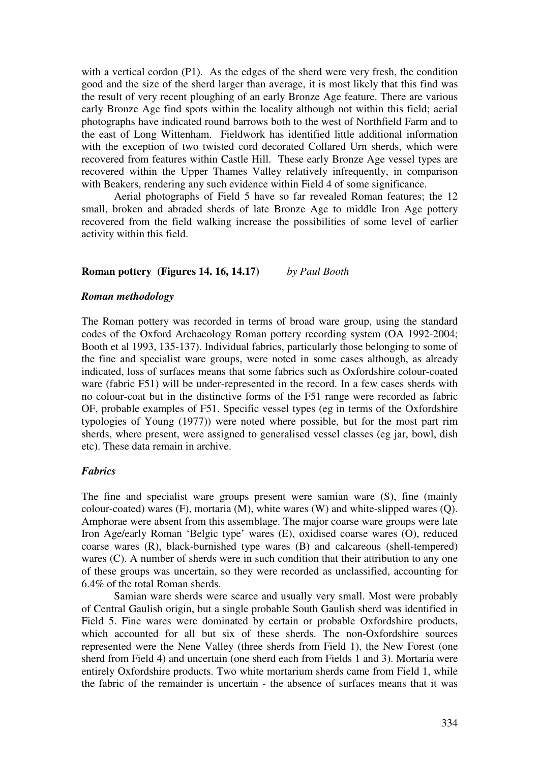with a vertical cordon (P1). As the edges of the sherd were very fresh, the condition good and the size of the sherd larger than average, it is most likely that this find was the result of very recent ploughing of an early Bronze Age feature. There are various early Bronze Age find spots within the locality although not within this field; aerial photographs have indicated round barrows both to the west of Northfield Farm and to the east of Long Wittenham. Fieldwork has identified little additional information with the exception of two twisted cord decorated Collared Urn sherds, which were recovered from features within Castle Hill. These early Bronze Age vessel types are recovered within the Upper Thames Valley relatively infrequently, in comparison with Beakers, rendering any such evidence within Field 4 of some significance.

Aerial photographs of Field 5 have so far revealed Roman features; the 12 small, broken and abraded sherds of late Bronze Age to middle Iron Age pottery recovered from the field walking increase the possibilities of some level of earlier activity within this field.

#### **Roman pottery (Figures 14. 16, 14.17)** *by Paul Booth*

#### *Roman methodology*

The Roman pottery was recorded in terms of broad ware group, using the standard codes of the Oxford Archaeology Roman pottery recording system (OA 1992-2004; Booth et al 1993, 135-137). Individual fabrics, particularly those belonging to some of the fine and specialist ware groups, were noted in some cases although, as already indicated, loss of surfaces means that some fabrics such as Oxfordshire colour-coated ware (fabric F51) will be under-represented in the record. In a few cases sherds with no colour-coat but in the distinctive forms of the F51 range were recorded as fabric OF, probable examples of F51. Specific vessel types (eg in terms of the Oxfordshire typologies of Young (1977)) were noted where possible, but for the most part rim sherds, where present, were assigned to generalised vessel classes (eg jar, bowl, dish etc). These data remain in archive.

## *Fabrics*

The fine and specialist ware groups present were samian ware (S), fine (mainly colour-coated) wares (F), mortaria (M), white wares (W) and white-slipped wares (Q). Amphorae were absent from this assemblage. The major coarse ware groups were late Iron Age/early Roman 'Belgic type' wares (E), oxidised coarse wares (O), reduced coarse wares (R), black-burnished type wares (B) and calcareous (shell-tempered) wares (C). A number of sherds were in such condition that their attribution to any one of these groups was uncertain, so they were recorded as unclassified, accounting for 6.4% of the total Roman sherds.

Samian ware sherds were scarce and usually very small. Most were probably of Central Gaulish origin, but a single probable South Gaulish sherd was identified in Field 5. Fine wares were dominated by certain or probable Oxfordshire products, which accounted for all but six of these sherds. The non-Oxfordshire sources represented were the Nene Valley (three sherds from Field 1), the New Forest (one sherd from Field 4) and uncertain (one sherd each from Fields 1 and 3). Mortaria were entirely Oxfordshire products. Two white mortarium sherds came from Field 1, while the fabric of the remainder is uncertain - the absence of surfaces means that it was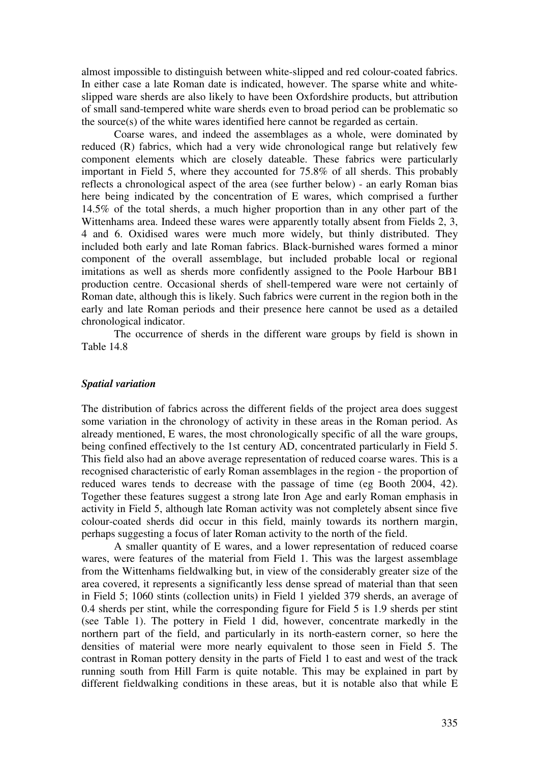almost impossible to distinguish between white-slipped and red colour-coated fabrics. In either case a late Roman date is indicated, however. The sparse white and whiteslipped ware sherds are also likely to have been Oxfordshire products, but attribution of small sand-tempered white ware sherds even to broad period can be problematic so the source(s) of the white wares identified here cannot be regarded as certain.

Coarse wares, and indeed the assemblages as a whole, were dominated by reduced (R) fabrics, which had a very wide chronological range but relatively few component elements which are closely dateable. These fabrics were particularly important in Field 5, where they accounted for 75.8% of all sherds. This probably reflects a chronological aspect of the area (see further below) - an early Roman bias here being indicated by the concentration of E wares, which comprised a further 14.5% of the total sherds, a much higher proportion than in any other part of the Wittenhams area. Indeed these wares were apparently totally absent from Fields 2, 3, 4 and 6. Oxidised wares were much more widely, but thinly distributed. They included both early and late Roman fabrics. Black-burnished wares formed a minor component of the overall assemblage, but included probable local or regional imitations as well as sherds more confidently assigned to the Poole Harbour BB1 production centre. Occasional sherds of shell-tempered ware were not certainly of Roman date, although this is likely. Such fabrics were current in the region both in the early and late Roman periods and their presence here cannot be used as a detailed chronological indicator.

The occurrence of sherds in the different ware groups by field is shown in Table 14.8

#### *Spatial variation*

The distribution of fabrics across the different fields of the project area does suggest some variation in the chronology of activity in these areas in the Roman period. As already mentioned, E wares, the most chronologically specific of all the ware groups, being confined effectively to the 1st century AD, concentrated particularly in Field 5. This field also had an above average representation of reduced coarse wares. This is a recognised characteristic of early Roman assemblages in the region - the proportion of reduced wares tends to decrease with the passage of time (eg Booth 2004, 42). Together these features suggest a strong late Iron Age and early Roman emphasis in activity in Field 5, although late Roman activity was not completely absent since five colour-coated sherds did occur in this field, mainly towards its northern margin, perhaps suggesting a focus of later Roman activity to the north of the field.

A smaller quantity of E wares, and a lower representation of reduced coarse wares, were features of the material from Field 1. This was the largest assemblage from the Wittenhams fieldwalking but, in view of the considerably greater size of the area covered, it represents a significantly less dense spread of material than that seen in Field 5; 1060 stints (collection units) in Field 1 yielded 379 sherds, an average of 0.4 sherds per stint, while the corresponding figure for Field 5 is 1.9 sherds per stint (see Table 1). The pottery in Field 1 did, however, concentrate markedly in the northern part of the field, and particularly in its north-eastern corner, so here the densities of material were more nearly equivalent to those seen in Field 5. The contrast in Roman pottery density in the parts of Field 1 to east and west of the track running south from Hill Farm is quite notable. This may be explained in part by different fieldwalking conditions in these areas, but it is notable also that while E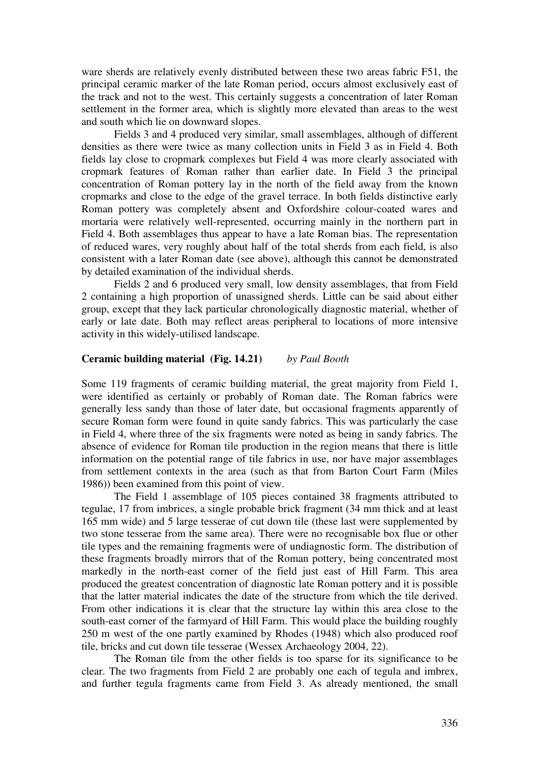ware sherds are relatively evenly distributed between these two areas fabric F51, the principal ceramic marker of the late Roman period, occurs almost exclusively east of the track and not to the west. This certainly suggests a concentration of later Roman settlement in the former area, which is slightly more elevated than areas to the west and south which lie on downward slopes.

Fields 3 and 4 produced very similar, small assemblages, although of different densities as there were twice as many collection units in Field 3 as in Field 4. Both fields lay close to cropmark complexes but Field 4 was more clearly associated with cropmark features of Roman rather than earlier date. In Field 3 the principal concentration of Roman pottery lay in the north of the field away from the known cropmarks and close to the edge of the gravel terrace. In both fields distinctive early Roman pottery was completely absent and Oxfordshire colour-coated wares and mortaria were relatively well-represented, occurring mainly in the northern part in Field 4. Both assemblages thus appear to have a late Roman bias. The representation of reduced wares, very roughly about half of the total sherds from each field, is also consistent with a later Roman date (see above), although this cannot be demonstrated by detailed examination of the individual sherds.

Fields 2 and 6 produced very small, low density assemblages, that from Field 2 containing a high proportion of unassigned sherds. Little can be said about either group, except that they lack particular chronologically diagnostic material, whether of early or late date. Both may reflect areas peripheral to locations of more intensive activity in this widely-utilised landscape.

#### **Ceramic building material (Fig. 14.21)** *by Paul Booth*

Some 119 fragments of ceramic building material, the great majority from Field 1, were identified as certainly or probably of Roman date. The Roman fabrics were generally less sandy than those of later date, but occasional fragments apparently of secure Roman form were found in quite sandy fabrics. This was particularly the case in Field 4, where three of the six fragments were noted as being in sandy fabrics. The absence of evidence for Roman tile production in the region means that there is little information on the potential range of tile fabrics in use, nor have major assemblages from settlement contexts in the area (such as that from Barton Court Farm (Miles 1986)) been examined from this point of view.

The Field 1 assemblage of 105 pieces contained 38 fragments attributed to tegulae, 17 from imbrices, a single probable brick fragment (34 mm thick and at least 165 mm wide) and 5 large tesserae of cut down tile (these last were supplemented by two stone tesserae from the same area). There were no recognisable box flue or other tile types and the remaining fragments were of undiagnostic form. The distribution of these fragments broadly mirrors that of the Roman pottery, being concentrated most markedly in the north-east corner of the field just east of Hill Farm. This area produced the greatest concentration of diagnostic late Roman pottery and it is possible that the latter material indicates the date of the structure from which the tile derived. From other indications it is clear that the structure lay within this area close to the south-east corner of the farmyard of Hill Farm. This would place the building roughly 250 m west of the one partly examined by Rhodes (1948) which also produced roof tile, bricks and cut down tile tesserae (Wessex Archaeology 2004, 22).

The Roman tile from the other fields is too sparse for its significance to be clear. The two fragments from Field 2 are probably one each of tegula and imbrex, and further tegula fragments came from Field 3. As already mentioned, the small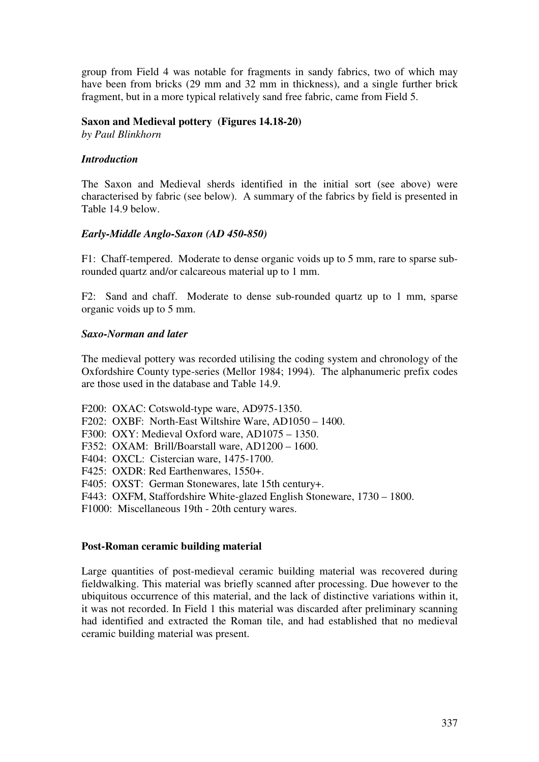group from Field 4 was notable for fragments in sandy fabrics, two of which may have been from bricks (29 mm and 32 mm in thickness), and a single further brick fragment, but in a more typical relatively sand free fabric, came from Field 5.

### **Saxon and Medieval pottery (Figures 14.18-20)**

*by Paul Blinkhorn* 

### *Introduction*

The Saxon and Medieval sherds identified in the initial sort (see above) were characterised by fabric (see below). A summary of the fabrics by field is presented in Table 14.9 below.

### *Early-Middle Anglo-Saxon (AD 450-850)*

F1: Chaff-tempered. Moderate to dense organic voids up to 5 mm, rare to sparse subrounded quartz and/or calcareous material up to 1 mm.

F2: Sand and chaff. Moderate to dense sub-rounded quartz up to 1 mm, sparse organic voids up to 5 mm.

### *Saxo-Norman and later*

The medieval pottery was recorded utilising the coding system and chronology of the Oxfordshire County type-series (Mellor 1984; 1994). The alphanumeric prefix codes are those used in the database and Table 14.9.

F200: OXAC: Cotswold-type ware, AD975-1350.

F202: OXBF: North-East Wiltshire Ware, AD1050 – 1400.

F300: OXY: Medieval Oxford ware, AD1075 – 1350.

- F352: OXAM: Brill/Boarstall ware, AD1200 1600.
- F404: OXCL: Cistercian ware, 1475-1700.

F425: OXDR: Red Earthenwares, 1550+.

F405: OXST: German Stonewares, late 15th century+.

F443: OXFM, Staffordshire White-glazed English Stoneware, 1730 – 1800.

F1000: Miscellaneous 19th - 20th century wares.

#### **Post-Roman ceramic building material**

Large quantities of post-medieval ceramic building material was recovered during fieldwalking. This material was briefly scanned after processing. Due however to the ubiquitous occurrence of this material, and the lack of distinctive variations within it, it was not recorded. In Field 1 this material was discarded after preliminary scanning had identified and extracted the Roman tile, and had established that no medieval ceramic building material was present.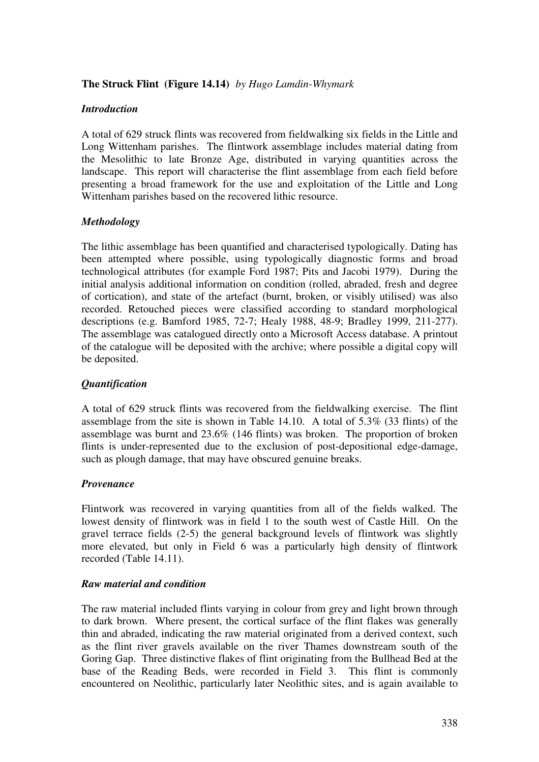## **The Struck Flint (Figure 14.14)** *by Hugo Lamdin-Whymark*

## *Introduction*

A total of 629 struck flints was recovered from fieldwalking six fields in the Little and Long Wittenham parishes. The flintwork assemblage includes material dating from the Mesolithic to late Bronze Age, distributed in varying quantities across the landscape. This report will characterise the flint assemblage from each field before presenting a broad framework for the use and exploitation of the Little and Long Wittenham parishes based on the recovered lithic resource.

## *Methodology*

The lithic assemblage has been quantified and characterised typologically. Dating has been attempted where possible, using typologically diagnostic forms and broad technological attributes (for example Ford 1987; Pits and Jacobi 1979). During the initial analysis additional information on condition (rolled, abraded, fresh and degree of cortication), and state of the artefact (burnt, broken, or visibly utilised) was also recorded. Retouched pieces were classified according to standard morphological descriptions (e.g. Bamford 1985, 72-7; Healy 1988, 48-9; Bradley 1999, 211-277). The assemblage was catalogued directly onto a Microsoft Access database. A printout of the catalogue will be deposited with the archive; where possible a digital copy will be deposited.

## *Quantification*

A total of 629 struck flints was recovered from the fieldwalking exercise. The flint assemblage from the site is shown in Table 14.10. A total of 5.3% (33 flints) of the assemblage was burnt and 23.6% (146 flints) was broken. The proportion of broken flints is under-represented due to the exclusion of post-depositional edge-damage, such as plough damage, that may have obscured genuine breaks.

### *Provenance*

Flintwork was recovered in varying quantities from all of the fields walked. The lowest density of flintwork was in field 1 to the south west of Castle Hill. On the gravel terrace fields (2-5) the general background levels of flintwork was slightly more elevated, but only in Field 6 was a particularly high density of flintwork recorded (Table 14.11).

### *Raw material and condition*

The raw material included flints varying in colour from grey and light brown through to dark brown. Where present, the cortical surface of the flint flakes was generally thin and abraded, indicating the raw material originated from a derived context, such as the flint river gravels available on the river Thames downstream south of the Goring Gap. Three distinctive flakes of flint originating from the Bullhead Bed at the base of the Reading Beds, were recorded in Field 3. This flint is commonly encountered on Neolithic, particularly later Neolithic sites, and is again available to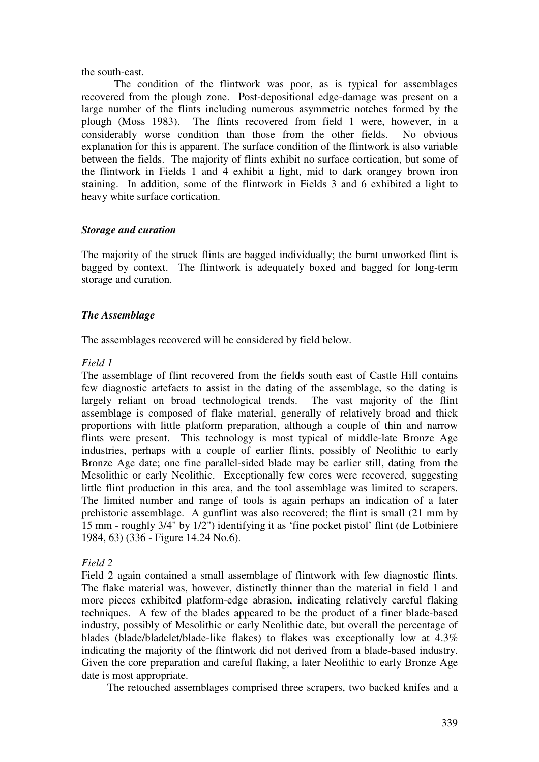### the south-east.

The condition of the flintwork was poor, as is typical for assemblages recovered from the plough zone. Post-depositional edge-damage was present on a large number of the flints including numerous asymmetric notches formed by the plough (Moss 1983). The flints recovered from field 1 were, however, in a considerably worse condition than those from the other fields. No obvious explanation for this is apparent. The surface condition of the flintwork is also variable between the fields. The majority of flints exhibit no surface cortication, but some of the flintwork in Fields 1 and 4 exhibit a light, mid to dark orangey brown iron staining. In addition, some of the flintwork in Fields 3 and 6 exhibited a light to heavy white surface cortication.

## *Storage and curation*

The majority of the struck flints are bagged individually; the burnt unworked flint is bagged by context. The flintwork is adequately boxed and bagged for long-term storage and curation.

## *The Assemblage*

The assemblages recovered will be considered by field below.

## *Field 1*

The assemblage of flint recovered from the fields south east of Castle Hill contains few diagnostic artefacts to assist in the dating of the assemblage, so the dating is largely reliant on broad technological trends. The vast majority of the flint assemblage is composed of flake material, generally of relatively broad and thick proportions with little platform preparation, although a couple of thin and narrow flints were present. This technology is most typical of middle-late Bronze Age industries, perhaps with a couple of earlier flints, possibly of Neolithic to early Bronze Age date; one fine parallel-sided blade may be earlier still, dating from the Mesolithic or early Neolithic. Exceptionally few cores were recovered, suggesting little flint production in this area, and the tool assemblage was limited to scrapers. The limited number and range of tools is again perhaps an indication of a later prehistoric assemblage. A gunflint was also recovered; the flint is small (21 mm by 15 mm - roughly 3/4" by 1/2") identifying it as 'fine pocket pistol' flint (de Lotbiniere 1984, 63) (336 - Figure 14.24 No.6).

## *Field 2*

Field 2 again contained a small assemblage of flintwork with few diagnostic flints. The flake material was, however, distinctly thinner than the material in field 1 and more pieces exhibited platform-edge abrasion, indicating relatively careful flaking techniques. A few of the blades appeared to be the product of a finer blade-based industry, possibly of Mesolithic or early Neolithic date, but overall the percentage of blades (blade/bladelet/blade-like flakes) to flakes was exceptionally low at 4.3% indicating the majority of the flintwork did not derived from a blade-based industry. Given the core preparation and careful flaking, a later Neolithic to early Bronze Age date is most appropriate.

The retouched assemblages comprised three scrapers, two backed knifes and a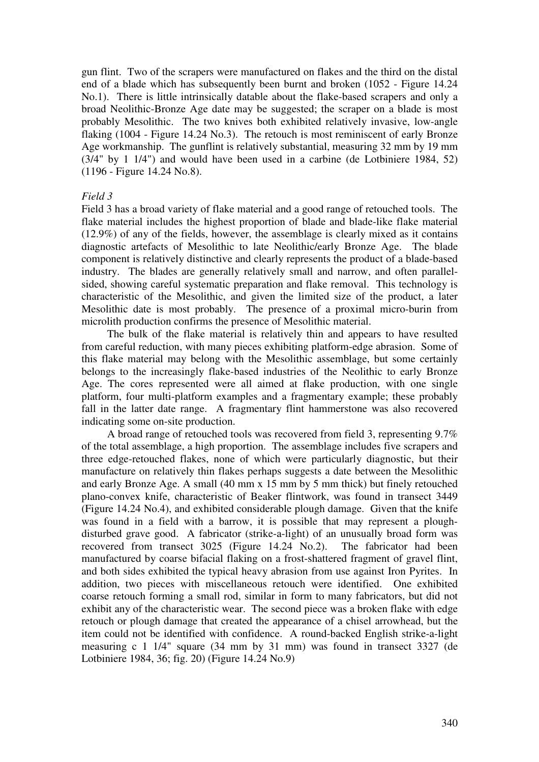gun flint. Two of the scrapers were manufactured on flakes and the third on the distal end of a blade which has subsequently been burnt and broken (1052 - Figure 14.24 No.1). There is little intrinsically datable about the flake-based scrapers and only a broad Neolithic-Bronze Age date may be suggested; the scraper on a blade is most probably Mesolithic. The two knives both exhibited relatively invasive, low-angle flaking (1004 - Figure 14.24 No.3). The retouch is most reminiscent of early Bronze Age workmanship. The gunflint is relatively substantial, measuring 32 mm by 19 mm (3/4" by 1 1/4") and would have been used in a carbine (de Lotbiniere 1984, 52) (1196 - Figure 14.24 No.8).

### *Field 3*

Field 3 has a broad variety of flake material and a good range of retouched tools. The flake material includes the highest proportion of blade and blade-like flake material (12.9%) of any of the fields, however, the assemblage is clearly mixed as it contains diagnostic artefacts of Mesolithic to late Neolithic/early Bronze Age. The blade component is relatively distinctive and clearly represents the product of a blade-based industry. The blades are generally relatively small and narrow, and often parallelsided, showing careful systematic preparation and flake removal. This technology is characteristic of the Mesolithic, and given the limited size of the product, a later Mesolithic date is most probably. The presence of a proximal micro-burin from microlith production confirms the presence of Mesolithic material.

The bulk of the flake material is relatively thin and appears to have resulted from careful reduction, with many pieces exhibiting platform-edge abrasion. Some of this flake material may belong with the Mesolithic assemblage, but some certainly belongs to the increasingly flake-based industries of the Neolithic to early Bronze Age. The cores represented were all aimed at flake production, with one single platform, four multi-platform examples and a fragmentary example; these probably fall in the latter date range. A fragmentary flint hammerstone was also recovered indicating some on-site production.

A broad range of retouched tools was recovered from field 3, representing 9.7% of the total assemblage, a high proportion. The assemblage includes five scrapers and three edge-retouched flakes, none of which were particularly diagnostic, but their manufacture on relatively thin flakes perhaps suggests a date between the Mesolithic and early Bronze Age. A small (40 mm x 15 mm by 5 mm thick) but finely retouched plano-convex knife, characteristic of Beaker flintwork, was found in transect 3449 (Figure 14.24 No.4), and exhibited considerable plough damage. Given that the knife was found in a field with a barrow, it is possible that may represent a ploughdisturbed grave good. A fabricator (strike-a-light) of an unusually broad form was recovered from transect 3025 (Figure 14.24 No.2). The fabricator had been manufactured by coarse bifacial flaking on a frost-shattered fragment of gravel flint, and both sides exhibited the typical heavy abrasion from use against Iron Pyrites. In addition, two pieces with miscellaneous retouch were identified. One exhibited coarse retouch forming a small rod, similar in form to many fabricators, but did not exhibit any of the characteristic wear. The second piece was a broken flake with edge retouch or plough damage that created the appearance of a chisel arrowhead, but the item could not be identified with confidence. A round-backed English strike-a-light measuring c 1 1/4" square (34 mm by 31 mm) was found in transect 3327 (de Lotbiniere 1984, 36; fig. 20) (Figure 14.24 No.9)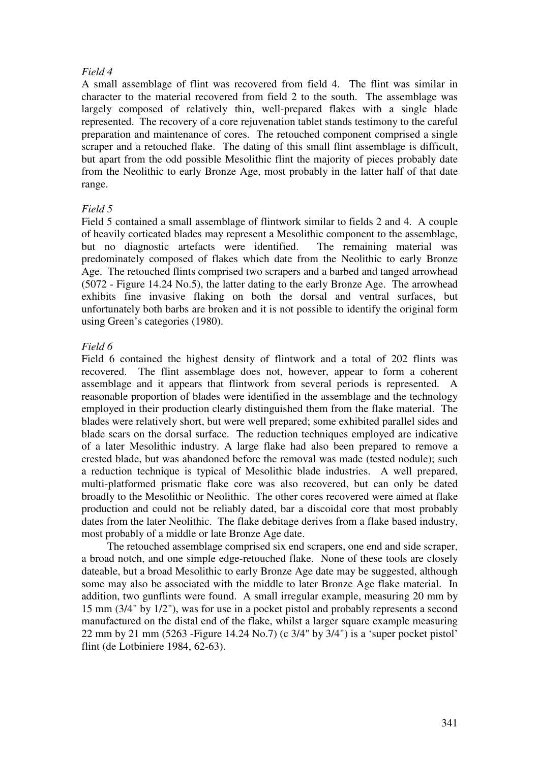## *Field 4*

A small assemblage of flint was recovered from field 4. The flint was similar in character to the material recovered from field 2 to the south. The assemblage was largely composed of relatively thin, well-prepared flakes with a single blade represented. The recovery of a core rejuvenation tablet stands testimony to the careful preparation and maintenance of cores. The retouched component comprised a single scraper and a retouched flake. The dating of this small flint assemblage is difficult, but apart from the odd possible Mesolithic flint the majority of pieces probably date from the Neolithic to early Bronze Age, most probably in the latter half of that date range.

## *Field 5*

Field 5 contained a small assemblage of flintwork similar to fields 2 and 4. A couple of heavily corticated blades may represent a Mesolithic component to the assemblage, but no diagnostic artefacts were identified. The remaining material was predominately composed of flakes which date from the Neolithic to early Bronze Age. The retouched flints comprised two scrapers and a barbed and tanged arrowhead (5072 - Figure 14.24 No.5), the latter dating to the early Bronze Age. The arrowhead exhibits fine invasive flaking on both the dorsal and ventral surfaces, but unfortunately both barbs are broken and it is not possible to identify the original form using Green's categories (1980).

## *Field 6*

Field 6 contained the highest density of flintwork and a total of 202 flints was recovered. The flint assemblage does not, however, appear to form a coherent assemblage and it appears that flintwork from several periods is represented. A reasonable proportion of blades were identified in the assemblage and the technology employed in their production clearly distinguished them from the flake material. The blades were relatively short, but were well prepared; some exhibited parallel sides and blade scars on the dorsal surface. The reduction techniques employed are indicative of a later Mesolithic industry. A large flake had also been prepared to remove a crested blade, but was abandoned before the removal was made (tested nodule); such a reduction technique is typical of Mesolithic blade industries. A well prepared, multi-platformed prismatic flake core was also recovered, but can only be dated broadly to the Mesolithic or Neolithic. The other cores recovered were aimed at flake production and could not be reliably dated, bar a discoidal core that most probably dates from the later Neolithic. The flake debitage derives from a flake based industry, most probably of a middle or late Bronze Age date.

The retouched assemblage comprised six end scrapers, one end and side scraper, a broad notch, and one simple edge-retouched flake. None of these tools are closely dateable, but a broad Mesolithic to early Bronze Age date may be suggested, although some may also be associated with the middle to later Bronze Age flake material. In addition, two gunflints were found. A small irregular example, measuring 20 mm by 15 mm (3/4" by 1/2"), was for use in a pocket pistol and probably represents a second manufactured on the distal end of the flake, whilst a larger square example measuring 22 mm by 21 mm (5263 -Figure 14.24 No.7) (c 3/4" by 3/4") is a 'super pocket pistol' flint (de Lotbiniere 1984, 62-63).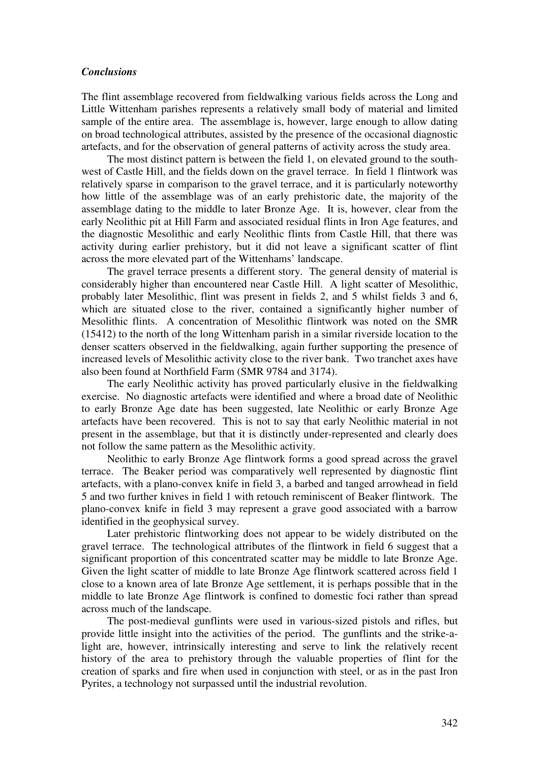#### *Conclusions*

The flint assemblage recovered from fieldwalking various fields across the Long and Little Wittenham parishes represents a relatively small body of material and limited sample of the entire area. The assemblage is, however, large enough to allow dating on broad technological attributes, assisted by the presence of the occasional diagnostic artefacts, and for the observation of general patterns of activity across the study area.

The most distinct pattern is between the field 1, on elevated ground to the southwest of Castle Hill, and the fields down on the gravel terrace. In field 1 flintwork was relatively sparse in comparison to the gravel terrace, and it is particularly noteworthy how little of the assemblage was of an early prehistoric date, the majority of the assemblage dating to the middle to later Bronze Age. It is, however, clear from the early Neolithic pit at Hill Farm and associated residual flints in Iron Age features, and the diagnostic Mesolithic and early Neolithic flints from Castle Hill, that there was activity during earlier prehistory, but it did not leave a significant scatter of flint across the more elevated part of the Wittenhams' landscape.

The gravel terrace presents a different story. The general density of material is considerably higher than encountered near Castle Hill. A light scatter of Mesolithic, probably later Mesolithic, flint was present in fields 2, and 5 whilst fields 3 and 6, which are situated close to the river, contained a significantly higher number of Mesolithic flints. A concentration of Mesolithic flintwork was noted on the SMR (15412) to the north of the long Wittenham parish in a similar riverside location to the denser scatters observed in the fieldwalking, again further supporting the presence of increased levels of Mesolithic activity close to the river bank. Two tranchet axes have also been found at Northfield Farm (SMR 9784 and 3174).

The early Neolithic activity has proved particularly elusive in the fieldwalking exercise. No diagnostic artefacts were identified and where a broad date of Neolithic to early Bronze Age date has been suggested, late Neolithic or early Bronze Age artefacts have been recovered. This is not to say that early Neolithic material in not present in the assemblage, but that it is distinctly under-represented and clearly does not follow the same pattern as the Mesolithic activity.

Neolithic to early Bronze Age flintwork forms a good spread across the gravel terrace. The Beaker period was comparatively well represented by diagnostic flint artefacts, with a plano-convex knife in field 3, a barbed and tanged arrowhead in field 5 and two further knives in field 1 with retouch reminiscent of Beaker flintwork. The plano-convex knife in field 3 may represent a grave good associated with a barrow identified in the geophysical survey.

Later prehistoric flintworking does not appear to be widely distributed on the gravel terrace. The technological attributes of the flintwork in field 6 suggest that a significant proportion of this concentrated scatter may be middle to late Bronze Age. Given the light scatter of middle to late Bronze Age flintwork scattered across field 1 close to a known area of late Bronze Age settlement, it is perhaps possible that in the middle to late Bronze Age flintwork is confined to domestic foci rather than spread across much of the landscape.

The post-medieval gunflints were used in various-sized pistols and rifles, but provide little insight into the activities of the period. The gunflints and the strike-alight are, however, intrinsically interesting and serve to link the relatively recent history of the area to prehistory through the valuable properties of flint for the creation of sparks and fire when used in conjunction with steel, or as in the past Iron Pyrites, a technology not surpassed until the industrial revolution.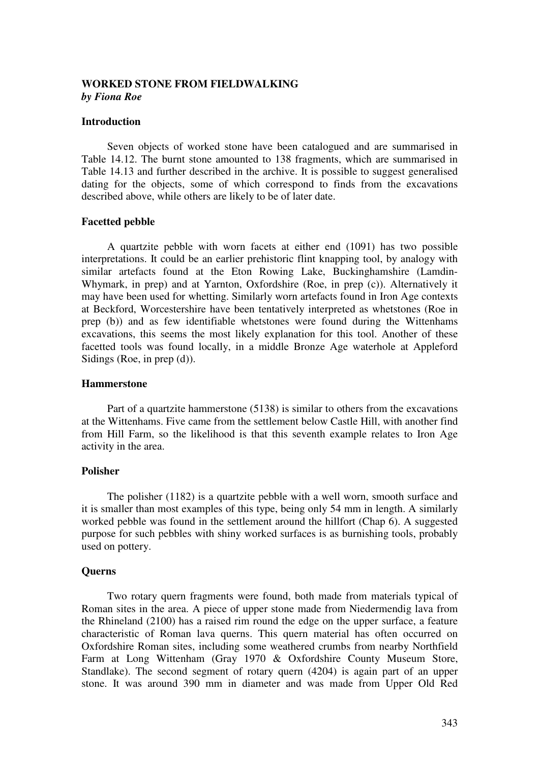### **WORKED STONE FROM FIELDWALKING**  *by Fiona Roe*

#### **Introduction**

 Seven objects of worked stone have been catalogued and are summarised in Table 14.12. The burnt stone amounted to 138 fragments, which are summarised in Table 14.13 and further described in the archive. It is possible to suggest generalised dating for the objects, some of which correspond to finds from the excavations described above, while others are likely to be of later date.

### **Facetted pebble**

 A quartzite pebble with worn facets at either end (1091) has two possible interpretations. It could be an earlier prehistoric flint knapping tool, by analogy with similar artefacts found at the Eton Rowing Lake, Buckinghamshire (Lamdin-Whymark, in prep) and at Yarnton, Oxfordshire (Roe, in prep (c)). Alternatively it may have been used for whetting. Similarly worn artefacts found in Iron Age contexts at Beckford, Worcestershire have been tentatively interpreted as whetstones (Roe in prep (b)) and as few identifiable whetstones were found during the Wittenhams excavations, this seems the most likely explanation for this tool. Another of these facetted tools was found locally, in a middle Bronze Age waterhole at Appleford Sidings (Roe, in prep (d)).

#### **Hammerstone**

 Part of a quartzite hammerstone (5138) is similar to others from the excavations at the Wittenhams. Five came from the settlement below Castle Hill, with another find from Hill Farm, so the likelihood is that this seventh example relates to Iron Age activity in the area.

### **Polisher**

 The polisher (1182) is a quartzite pebble with a well worn, smooth surface and it is smaller than most examples of this type, being only 54 mm in length. A similarly worked pebble was found in the settlement around the hillfort (Chap 6). A suggested purpose for such pebbles with shiny worked surfaces is as burnishing tools, probably used on pottery.

### **Querns**

 Two rotary quern fragments were found, both made from materials typical of Roman sites in the area. A piece of upper stone made from Niedermendig lava from the Rhineland (2100) has a raised rim round the edge on the upper surface, a feature characteristic of Roman lava querns. This quern material has often occurred on Oxfordshire Roman sites, including some weathered crumbs from nearby Northfield Farm at Long Wittenham (Gray 1970 & Oxfordshire County Museum Store, Standlake). The second segment of rotary quern (4204) is again part of an upper stone. It was around 390 mm in diameter and was made from Upper Old Red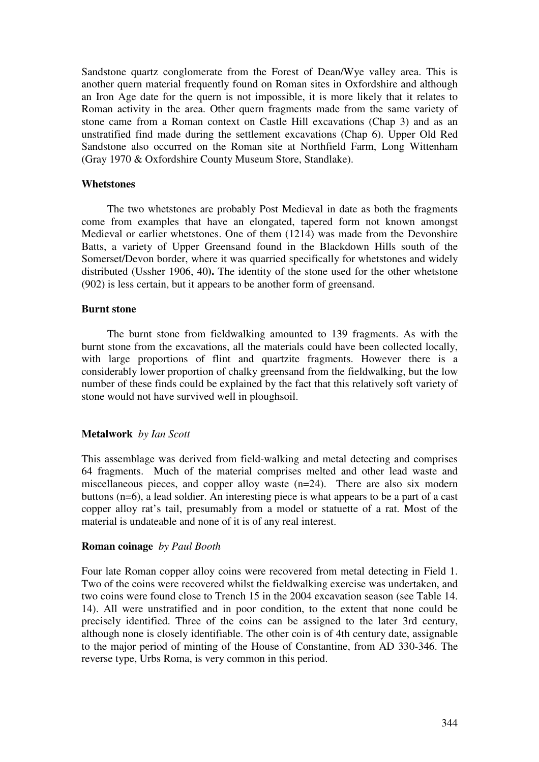Sandstone quartz conglomerate from the Forest of Dean/Wye valley area. This is another quern material frequently found on Roman sites in Oxfordshire and although an Iron Age date for the quern is not impossible, it is more likely that it relates to Roman activity in the area. Other quern fragments made from the same variety of stone came from a Roman context on Castle Hill excavations (Chap 3) and as an unstratified find made during the settlement excavations (Chap 6). Upper Old Red Sandstone also occurred on the Roman site at Northfield Farm, Long Wittenham (Gray 1970 & Oxfordshire County Museum Store, Standlake).

### **Whetstones**

 The two whetstones are probably Post Medieval in date as both the fragments come from examples that have an elongated, tapered form not known amongst Medieval or earlier whetstones. One of them (1214) was made from the Devonshire Batts, a variety of Upper Greensand found in the Blackdown Hills south of the Somerset/Devon border, where it was quarried specifically for whetstones and widely distributed (Ussher 1906, 40**).** The identity of the stone used for the other whetstone (902) is less certain, but it appears to be another form of greensand.

### **Burnt stone**

 The burnt stone from fieldwalking amounted to 139 fragments. As with the burnt stone from the excavations, all the materials could have been collected locally, with large proportions of flint and quartzite fragments. However there is a considerably lower proportion of chalky greensand from the fieldwalking, but the low number of these finds could be explained by the fact that this relatively soft variety of stone would not have survived well in ploughsoil.

#### **Metalwork** *by Ian Scott*

This assemblage was derived from field-walking and metal detecting and comprises 64 fragments. Much of the material comprises melted and other lead waste and miscellaneous pieces, and copper alloy waste (n=24). There are also six modern buttons (n=6), a lead soldier. An interesting piece is what appears to be a part of a cast copper alloy rat's tail, presumably from a model or statuette of a rat. Most of the material is undateable and none of it is of any real interest.

#### **Roman coinage** *by Paul Booth*

Four late Roman copper alloy coins were recovered from metal detecting in Field 1. Two of the coins were recovered whilst the fieldwalking exercise was undertaken, and two coins were found close to Trench 15 in the 2004 excavation season (see Table 14. 14). All were unstratified and in poor condition, to the extent that none could be precisely identified. Three of the coins can be assigned to the later 3rd century, although none is closely identifiable. The other coin is of 4th century date, assignable to the major period of minting of the House of Constantine, from AD 330-346. The reverse type, Urbs Roma, is very common in this period.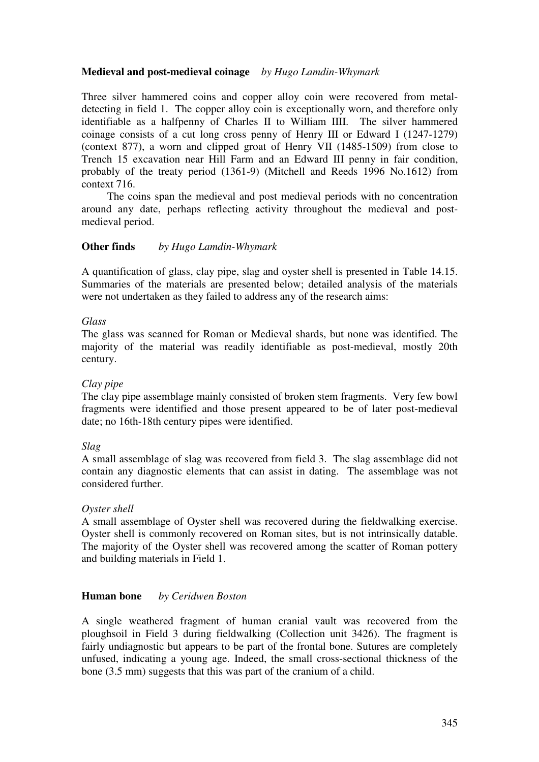## **Medieval and post-medieval coinage** *by Hugo Lamdin-Whymark*

Three silver hammered coins and copper alloy coin were recovered from metaldetecting in field 1. The copper alloy coin is exceptionally worn, and therefore only identifiable as a halfpenny of Charles II to William IIII. The silver hammered coinage consists of a cut long cross penny of Henry III or Edward I (1247-1279) (context 877), a worn and clipped groat of Henry VII (1485-1509) from close to Trench 15 excavation near Hill Farm and an Edward III penny in fair condition, probably of the treaty period (1361-9) (Mitchell and Reeds 1996 No.1612) from context 716.

The coins span the medieval and post medieval periods with no concentration around any date, perhaps reflecting activity throughout the medieval and postmedieval period.

### **Other finds** *by Hugo Lamdin-Whymark*

A quantification of glass, clay pipe, slag and oyster shell is presented in Table 14.15. Summaries of the materials are presented below; detailed analysis of the materials were not undertaken as they failed to address any of the research aims:

### *Glass*

The glass was scanned for Roman or Medieval shards, but none was identified. The majority of the material was readily identifiable as post-medieval, mostly 20th century.

### *Clay pipe*

The clay pipe assemblage mainly consisted of broken stem fragments. Very few bowl fragments were identified and those present appeared to be of later post-medieval date; no 16th-18th century pipes were identified.

### *Slag*

A small assemblage of slag was recovered from field 3. The slag assemblage did not contain any diagnostic elements that can assist in dating. The assemblage was not considered further.

#### *Oyster shell*

A small assemblage of Oyster shell was recovered during the fieldwalking exercise. Oyster shell is commonly recovered on Roman sites, but is not intrinsically datable. The majority of the Oyster shell was recovered among the scatter of Roman pottery and building materials in Field 1.

### **Human bone** *by Ceridwen Boston*

A single weathered fragment of human cranial vault was recovered from the ploughsoil in Field 3 during fieldwalking (Collection unit 3426). The fragment is fairly undiagnostic but appears to be part of the frontal bone. Sutures are completely unfused, indicating a young age. Indeed, the small cross-sectional thickness of the bone (3.5 mm) suggests that this was part of the cranium of a child.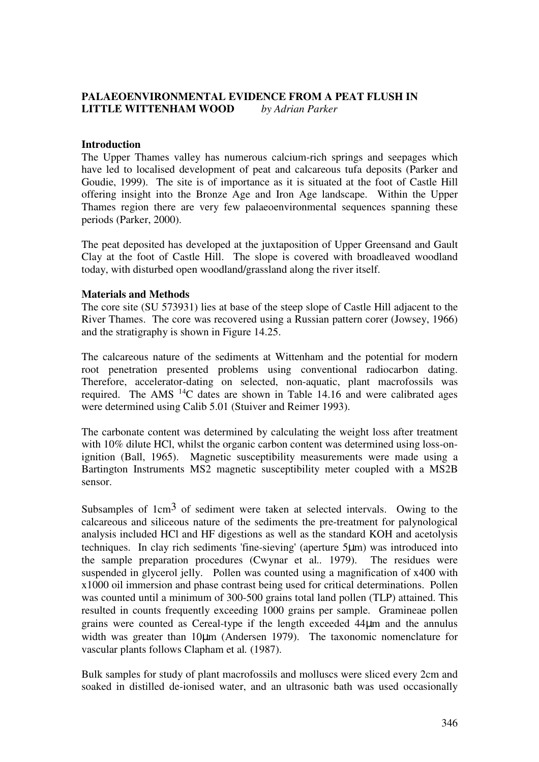## **PALAEOENVIRONMENTAL EVIDENCE FROM A PEAT FLUSH IN LITTLE WITTENHAM WOOD** *by Adrian Parker*

### **Introduction**

The Upper Thames valley has numerous calcium-rich springs and seepages which have led to localised development of peat and calcareous tufa deposits (Parker and Goudie, 1999). The site is of importance as it is situated at the foot of Castle Hill offering insight into the Bronze Age and Iron Age landscape. Within the Upper Thames region there are very few palaeoenvironmental sequences spanning these periods (Parker, 2000).

The peat deposited has developed at the juxtaposition of Upper Greensand and Gault Clay at the foot of Castle Hill. The slope is covered with broadleaved woodland today, with disturbed open woodland/grassland along the river itself.

### **Materials and Methods**

The core site (SU 573931) lies at base of the steep slope of Castle Hill adjacent to the River Thames. The core was recovered using a Russian pattern corer (Jowsey, 1966) and the stratigraphy is shown in Figure 14.25.

The calcareous nature of the sediments at Wittenham and the potential for modern root penetration presented problems using conventional radiocarbon dating. Therefore, accelerator-dating on selected, non-aquatic, plant macrofossils was required. The AMS <sup>14</sup>C dates are shown in Table 14.16 and were calibrated ages were determined using Calib 5.01 (Stuiver and Reimer 1993).

The carbonate content was determined by calculating the weight loss after treatment with 10% dilute HCl, whilst the organic carbon content was determined using loss-onignition (Ball, 1965). Magnetic susceptibility measurements were made using a Bartington Instruments MS2 magnetic susceptibility meter coupled with a MS2B sensor.

Subsamples of  $1 \text{cm}^3$  of sediment were taken at selected intervals. Owing to the calcareous and siliceous nature of the sediments the pre-treatment for palynological analysis included HCl and HF digestions as well as the standard KOH and acetolysis techniques. In clay rich sediments 'fine-sieving' (aperture 5µm) was introduced into the sample preparation procedures (Cwynar et al*..* 1979). The residues were suspended in glycerol jelly. Pollen was counted using a magnification of x400 with x1000 oil immersion and phase contrast being used for critical determinations. Pollen was counted until a minimum of 300-500 grains total land pollen (TLP) attained. This resulted in counts frequently exceeding 1000 grains per sample. Gramineae pollen grains were counted as Cereal-type if the length exceeded 44µm and the annulus width was greater than 10 $\mu$ m (Andersen 1979). The taxonomic nomenclature for vascular plants follows Clapham et al*.* (1987).

Bulk samples for study of plant macrofossils and molluscs were sliced every 2cm and soaked in distilled de-ionised water, and an ultrasonic bath was used occasionally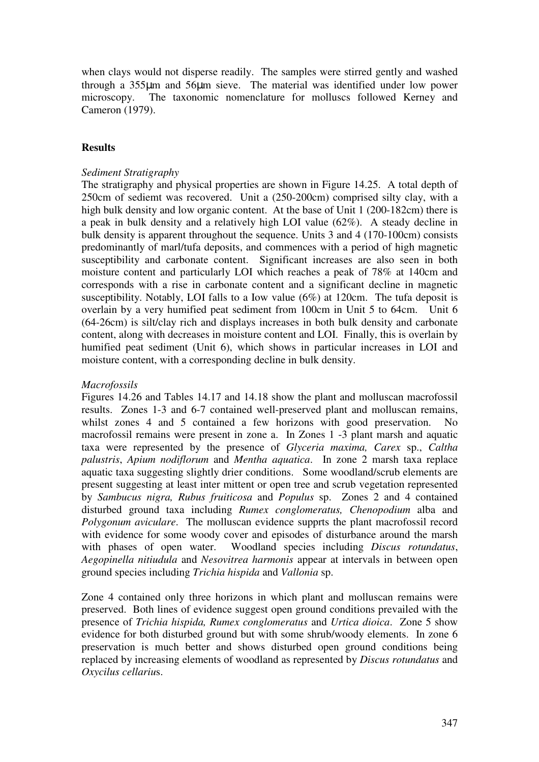when clays would not disperse readily. The samples were stirred gently and washed through a 355µm and 56µm sieve. The material was identified under low power microscopy. The taxonomic nomenclature for molluscs followed Kerney and Cameron (1979).

### **Results**

### *Sediment Stratigraphy*

The stratigraphy and physical properties are shown in Figure 14.25. A total depth of 250cm of sediemt was recovered. Unit a (250-200cm) comprised silty clay, with a high bulk density and low organic content. At the base of Unit 1 (200-182cm) there is a peak in bulk density and a relatively high LOI value (62%). A steady decline in bulk density is apparent throughout the sequence. Units 3 and 4 (170-100cm) consists predominantly of marl/tufa deposits, and commences with a period of high magnetic susceptibility and carbonate content. Significant increases are also seen in both moisture content and particularly LOI which reaches a peak of 78% at 140cm and corresponds with a rise in carbonate content and a significant decline in magnetic susceptibility. Notably, LOI falls to a Iow value (6%) at 120cm. The tufa deposit is overlain by a very humified peat sediment from 100cm in Unit 5 to 64cm. Unit 6 (64-26cm) is silt/clay rich and displays increases in both bulk density and carbonate content, along with decreases in moisture content and LOI. Finally, this is overlain by humified peat sediment (Unit 6), which shows in particular increases in LOI and moisture content, with a corresponding decline in bulk density.

### *Macrofossils*

Figures 14.26 and Tables 14.17 and 14.18 show the plant and molluscan macrofossil results. Zones 1-3 and 6-7 contained well-preserved plant and molluscan remains, whilst zones 4 and 5 contained a few horizons with good preservation. No macrofossil remains were present in zone a. In Zones 1 -3 plant marsh and aquatic taxa were represented by the presence of *Glyceria maxima, Carex* sp., *Caltha palustris*, *Apium nodiflorum* and *Mentha aquatica*. In zone 2 marsh taxa replace aquatic taxa suggesting slightly drier conditions. Some woodland/scrub elements are present suggesting at least inter mittent or open tree and scrub vegetation represented by *Sambucus nigra, Rubus fruiticosa* and *Populus* sp. Zones 2 and 4 contained disturbed ground taxa including *Rumex conglomeratus, Chenopodium* alba and *Polygonum aviculare*. The molluscan evidence supprts the plant macrofossil record with evidence for some woody cover and episodes of disturbance around the marsh with phases of open water. Woodland species including *Discus rotundatus*, *Aegopinella nitiudula* and *Nesovitrea harmonis* appear at intervals in between open ground species including *Trichia hispida* and *Vallonia* sp.

Zone 4 contained only three horizons in which plant and molluscan remains were preserved. Both lines of evidence suggest open ground conditions prevailed with the presence of *Trichia hispida, Rumex conglomeratus* and *Urtica dioica*. Zone 5 show evidence for both disturbed ground but with some shrub/woody elements. In zone 6 preservation is much better and shows disturbed open ground conditions being replaced by increasing elements of woodland as represented by *Discus rotundatus* and *Oxycilus cellariu*s.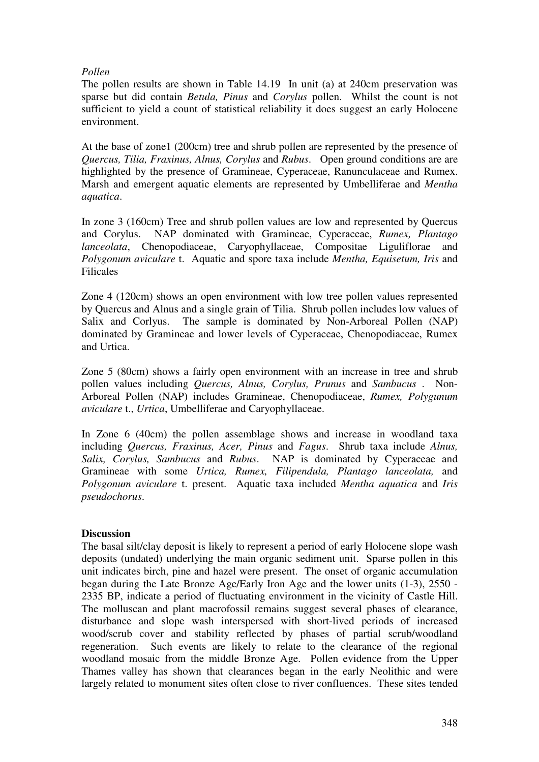## *Pollen*

The pollen results are shown in Table 14.19 In unit (a) at 240cm preservation was sparse but did contain *Betula, Pinus* and *Corylus* pollen. Whilst the count is not sufficient to yield a count of statistical reliability it does suggest an early Holocene environment.

At the base of zone1 (200cm) tree and shrub pollen are represented by the presence of *Quercus, Tilia, Fraxinus, Alnus, Corylus* and *Rubus*. Open ground conditions are are highlighted by the presence of Gramineae, Cyperaceae, Ranunculaceae and Rumex. Marsh and emergent aquatic elements are represented by Umbelliferae and *Mentha aquatica*.

In zone 3 (160cm) Tree and shrub pollen values are low and represented by Quercus and Corylus. NAP dominated with Gramineae, Cyperaceae, *Rumex, Plantago lanceolata*, Chenopodiaceae, Caryophyllaceae, Compositae Liguliflorae and *Polygonum aviculare* t. Aquatic and spore taxa include *Mentha, Equisetum, Iris* and Filicales

Zone 4 (120cm) shows an open environment with low tree pollen values represented by Quercus and Alnus and a single grain of Tilia. Shrub pollen includes low values of Salix and Corlyus. The sample is dominated by Non-Arboreal Pollen (NAP) dominated by Gramineae and lower levels of Cyperaceae, Chenopodiaceae, Rumex and Urtica.

Zone 5 (80cm) shows a fairly open environment with an increase in tree and shrub pollen values including *Quercus, Alnus, Corylus, Prunus* and *Sambucus* . Non-Arboreal Pollen (NAP) includes Gramineae, Chenopodiaceae, *Rumex, Polygunum aviculare* t., *Urtica*, Umbelliferae and Caryophyllaceae.

In Zone 6 (40cm) the pollen assemblage shows and increase in woodland taxa including *Quercus, Fraxinus, Acer, Pinus* and *Fagus*. Shrub taxa include *Alnus, Salix, Corylus, Sambucus* and *Rubus*. NAP is dominated by Cyperaceae and Gramineae with some *Urtica, Rumex, Filipendula, Plantago lanceolata,* and *Polygonum aviculare* t. present. Aquatic taxa included *Mentha aquatica* and *Iris pseudochorus*.

## **Discussion**

The basal silt/clay deposit is likely to represent a period of early Holocene slope wash deposits (undated) underlying the main organic sediment unit. Sparse pollen in this unit indicates birch, pine and hazel were present. The onset of organic accumulation began during the Late Bronze Age/Early Iron Age and the lower units (1-3), 2550 - 2335 BP, indicate a period of fluctuating environment in the vicinity of Castle Hill. The molluscan and plant macrofossil remains suggest several phases of clearance, disturbance and slope wash interspersed with short-lived periods of increased wood/scrub cover and stability reflected by phases of partial scrub/woodland regeneration. Such events are likely to relate to the clearance of the regional woodland mosaic from the middle Bronze Age. Pollen evidence from the Upper Thames valley has shown that clearances began in the early Neolithic and were largely related to monument sites often close to river confluences. These sites tended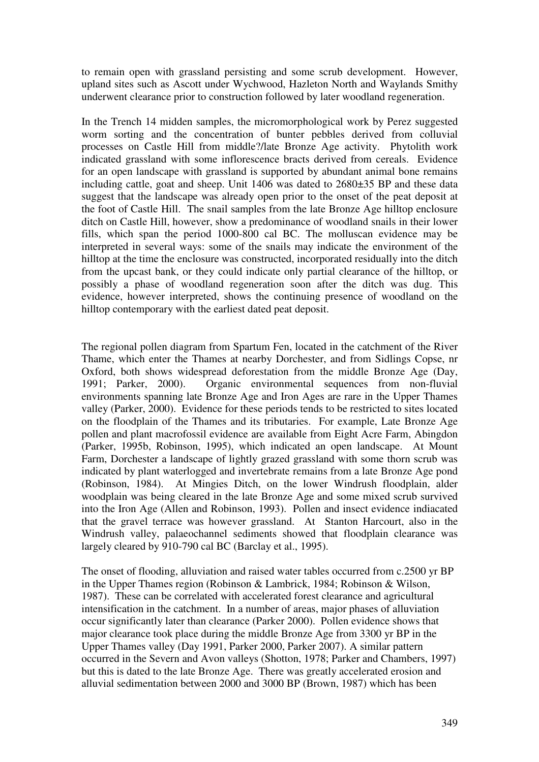to remain open with grassland persisting and some scrub development. However, upland sites such as Ascott under Wychwood, Hazleton North and Waylands Smithy underwent clearance prior to construction followed by later woodland regeneration.

In the Trench 14 midden samples, the micromorphological work by Perez suggested worm sorting and the concentration of bunter pebbles derived from colluvial processes on Castle Hill from middle?/late Bronze Age activity. Phytolith work indicated grassland with some inflorescence bracts derived from cereals. Evidence for an open landscape with grassland is supported by abundant animal bone remains including cattle, goat and sheep. Unit 1406 was dated to 2680±35 BP and these data suggest that the landscape was already open prior to the onset of the peat deposit at the foot of Castle Hill. The snail samples from the late Bronze Age hilltop enclosure ditch on Castle Hill, however, show a predominance of woodland snails in their lower fills, which span the period 1000-800 cal BC. The molluscan evidence may be interpreted in several ways: some of the snails may indicate the environment of the hilltop at the time the enclosure was constructed, incorporated residually into the ditch from the upcast bank, or they could indicate only partial clearance of the hilltop, or possibly a phase of woodland regeneration soon after the ditch was dug. This evidence, however interpreted, shows the continuing presence of woodland on the hilltop contemporary with the earliest dated peat deposit.

The regional pollen diagram from Spartum Fen, located in the catchment of the River Thame, which enter the Thames at nearby Dorchester, and from Sidlings Copse, nr Oxford, both shows widespread deforestation from the middle Bronze Age (Day, 1991; Parker, 2000). Organic environmental sequences from non-fluvial environments spanning late Bronze Age and Iron Ages are rare in the Upper Thames valley (Parker, 2000). Evidence for these periods tends to be restricted to sites located on the floodplain of the Thames and its tributaries. For example, Late Bronze Age pollen and plant macrofossil evidence are available from Eight Acre Farm, Abingdon (Parker, 1995b, Robinson, 1995), which indicated an open landscape. At Mount Farm, Dorchester a landscape of lightly grazed grassland with some thorn scrub was indicated by plant waterlogged and invertebrate remains from a late Bronze Age pond (Robinson, 1984). At Mingies Ditch, on the lower Windrush floodplain, alder woodplain was being cleared in the late Bronze Age and some mixed scrub survived into the Iron Age (Allen and Robinson, 1993). Pollen and insect evidence indiacated that the gravel terrace was however grassland. At Stanton Harcourt, also in the Windrush valley, palaeochannel sediments showed that floodplain clearance was largely cleared by 910-790 cal BC (Barclay et al., 1995).

The onset of flooding, alluviation and raised water tables occurred from c.2500 yr BP in the Upper Thames region (Robinson & Lambrick, 1984; Robinson & Wilson, 1987). These can be correlated with accelerated forest clearance and agricultural intensification in the catchment. In a number of areas, major phases of alluviation occur significantly later than clearance (Parker 2000). Pollen evidence shows that major clearance took place during the middle Bronze Age from 3300 yr BP in the Upper Thames valley (Day 1991, Parker 2000, Parker 2007). A similar pattern occurred in the Severn and Avon valleys (Shotton, 1978; Parker and Chambers, 1997) but this is dated to the late Bronze Age. There was greatly accelerated erosion and alluvial sedimentation between 2000 and 3000 BP (Brown, 1987) which has been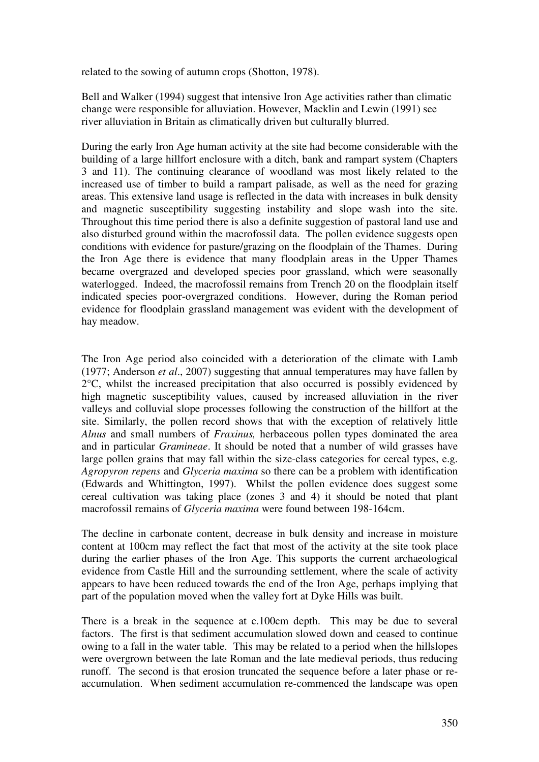related to the sowing of autumn crops (Shotton, 1978).

Bell and Walker (1994) suggest that intensive Iron Age activities rather than climatic change were responsible for alluviation. However, Macklin and Lewin (1991) see river alluviation in Britain as climatically driven but culturally blurred.

During the early Iron Age human activity at the site had become considerable with the building of a large hillfort enclosure with a ditch, bank and rampart system (Chapters 3 and 11). The continuing clearance of woodland was most likely related to the increased use of timber to build a rampart palisade, as well as the need for grazing areas. This extensive land usage is reflected in the data with increases in bulk density and magnetic susceptibility suggesting instability and slope wash into the site. Throughout this time period there is also a definite suggestion of pastoral land use and also disturbed ground within the macrofossil data. The pollen evidence suggests open conditions with evidence for pasture/grazing on the floodplain of the Thames. During the Iron Age there is evidence that many floodplain areas in the Upper Thames became overgrazed and developed species poor grassland, which were seasonally waterlogged. Indeed, the macrofossil remains from Trench 20 on the floodplain itself indicated species poor-overgrazed conditions. However, during the Roman period evidence for floodplain grassland management was evident with the development of hay meadow.

The Iron Age period also coincided with a deterioration of the climate with Lamb (1977; Anderson *et al*., 2007) suggesting that annual temperatures may have fallen by 2°C, whilst the increased precipitation that also occurred is possibly evidenced by high magnetic susceptibility values, caused by increased alluviation in the river valleys and colluvial slope processes following the construction of the hillfort at the site. Similarly, the pollen record shows that with the exception of relatively little *Alnus* and small numbers of *Fraxinus,* herbaceous pollen types dominated the area and in particular *Gramineae*. It should be noted that a number of wild grasses have large pollen grains that may fall within the size-class categories for cereal types, e.g. *Agropyron repens* and *Glyceria maxima* so there can be a problem with identification (Edwards and Whittington, 1997). Whilst the pollen evidence does suggest some cereal cultivation was taking place (zones 3 and 4) it should be noted that plant macrofossil remains of *Glyceria maxima* were found between 198-164cm.

The decline in carbonate content, decrease in bulk density and increase in moisture content at 100cm may reflect the fact that most of the activity at the site took place during the earlier phases of the Iron Age. This supports the current archaeological evidence from Castle Hill and the surrounding settlement, where the scale of activity appears to have been reduced towards the end of the Iron Age, perhaps implying that part of the population moved when the valley fort at Dyke Hills was built.

There is a break in the sequence at c.100cm depth. This may be due to several factors. The first is that sediment accumulation slowed down and ceased to continue owing to a fall in the water table. This may be related to a period when the hillslopes were overgrown between the late Roman and the late medieval periods, thus reducing runoff. The second is that erosion truncated the sequence before a later phase or reaccumulation. When sediment accumulation re-commenced the landscape was open